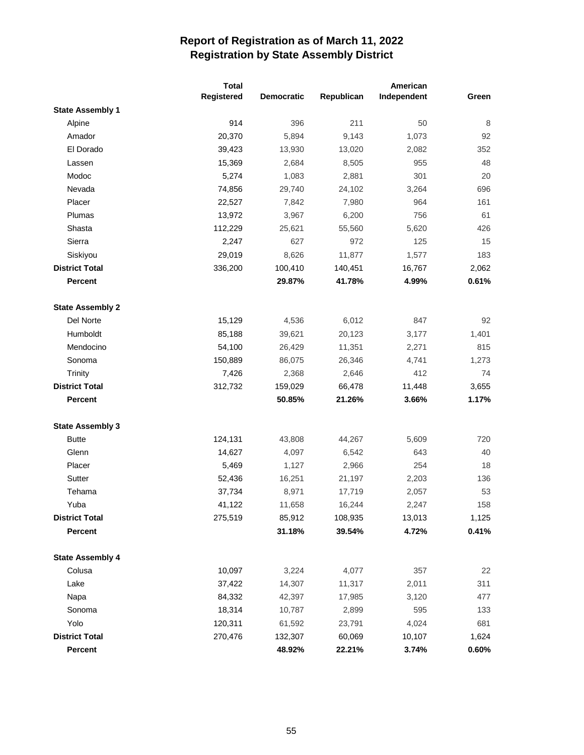|                         | <b>Total</b> |                   | American   |             |       |  |
|-------------------------|--------------|-------------------|------------|-------------|-------|--|
|                         | Registered   | <b>Democratic</b> | Republican | Independent | Green |  |
| <b>State Assembly 1</b> |              |                   |            |             |       |  |
| Alpine                  | 914          | 396               | 211        | 50          | 8     |  |
| Amador                  | 20,370       | 5,894             | 9,143      | 1,073       | 92    |  |
| El Dorado               | 39,423       | 13,930            | 13,020     | 2,082       | 352   |  |
| Lassen                  | 15,369       | 2,684             | 8,505      | 955         | 48    |  |
| Modoc                   | 5,274        | 1,083             | 2,881      | 301         | 20    |  |
| Nevada                  | 74,856       | 29,740            | 24,102     | 3,264       | 696   |  |
| Placer                  | 22,527       | 7,842             | 7,980      | 964         | 161   |  |
| Plumas                  | 13,972       | 3,967             | 6,200      | 756         | 61    |  |
| Shasta                  | 112,229      | 25,621            | 55,560     | 5,620       | 426   |  |
| Sierra                  | 2,247        | 627               | 972        | 125         | 15    |  |
| Siskiyou                | 29,019       | 8,626             | 11,877     | 1,577       | 183   |  |
| <b>District Total</b>   | 336,200      | 100,410           | 140,451    | 16,767      | 2,062 |  |
| <b>Percent</b>          |              | 29.87%            | 41.78%     | 4.99%       | 0.61% |  |
| <b>State Assembly 2</b> |              |                   |            |             |       |  |
| Del Norte               | 15,129       | 4,536             | 6,012      | 847         | 92    |  |
| Humboldt                | 85,188       | 39,621            | 20,123     | 3,177       | 1,401 |  |
| Mendocino               | 54,100       | 26,429            | 11,351     | 2,271       | 815   |  |
| Sonoma                  | 150,889      | 86,075            | 26,346     | 4,741       | 1,273 |  |
| <b>Trinity</b>          | 7,426        | 2,368             | 2,646      | 412         | 74    |  |
| <b>District Total</b>   | 312,732      | 159,029           | 66,478     | 11,448      | 3,655 |  |
| <b>Percent</b>          |              | 50.85%            | 21.26%     | 3.66%       | 1.17% |  |
| <b>State Assembly 3</b> |              |                   |            |             |       |  |
| <b>Butte</b>            | 124,131      | 43,808            | 44,267     | 5,609       | 720   |  |
| Glenn                   | 14,627       | 4,097             | 6,542      | 643         | 40    |  |
| Placer                  | 5,469        | 1,127             | 2,966      | 254         | 18    |  |
| Sutter                  | 52,436       | 16,251            | 21,197     | 2,203       | 136   |  |
| Tehama                  | 37,734       | 8,971             | 17,719     | 2,057       | 53    |  |
| Yuba                    | 41,122       | 11,658            | 16,244     | 2,247       | 158   |  |
| <b>District Total</b>   | 275,519      | 85,912            | 108,935    | 13,013      | 1,125 |  |
| Percent                 |              | 31.18%            | 39.54%     | 4.72%       | 0.41% |  |
| <b>State Assembly 4</b> |              |                   |            |             |       |  |
| Colusa                  | 10,097       | 3,224             | 4,077      | 357         | 22    |  |
| Lake                    | 37,422       | 14,307            | 11,317     | 2,011       | 311   |  |
| Napa                    | 84,332       | 42,397            | 17,985     | 3,120       | 477   |  |
| Sonoma                  | 18,314       | 10,787            | 2,899      | 595         | 133   |  |
| Yolo                    | 120,311      | 61,592            | 23,791     | 4,024       | 681   |  |
| <b>District Total</b>   | 270,476      | 132,307           | 60,069     | 10,107      | 1,624 |  |
| Percent                 |              | 48.92%            | 22.21%     | 3.74%       | 0.60% |  |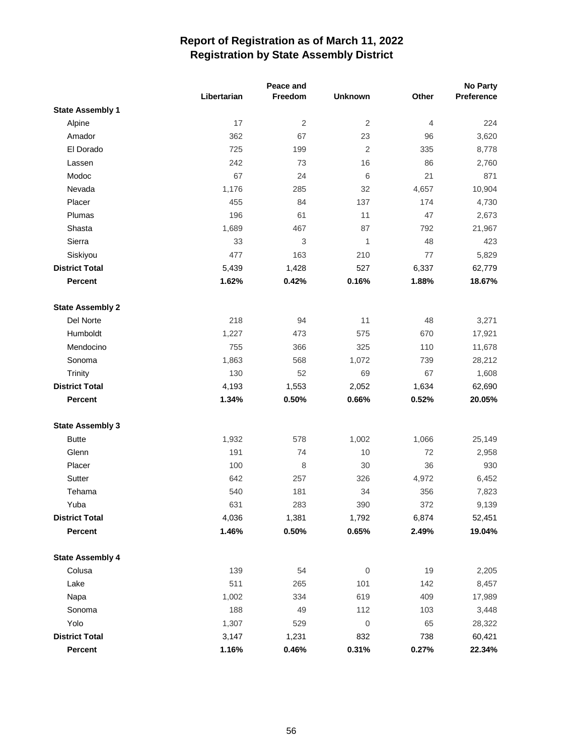|                         |             |                           |                  | <b>No Party</b> |            |
|-------------------------|-------------|---------------------------|------------------|-----------------|------------|
|                         | Libertarian | Freedom                   | <b>Unknown</b>   | Other           | Preference |
| <b>State Assembly 1</b> |             |                           |                  |                 |            |
| Alpine                  | 17          | $\overline{2}$            | $\overline{2}$   | $\overline{4}$  | 224        |
| Amador                  | 362         | 67                        | 23               | 96              | 3,620      |
| El Dorado               | 725         | 199                       | $\overline{2}$   | 335             | 8,778      |
| Lassen                  | 242         | 73                        | 16               | 86              | 2,760      |
| Modoc                   | 67          | 24                        | 6                | 21              | 871        |
| Nevada                  | 1,176       | 285                       | 32               | 4,657           | 10,904     |
| Placer                  | 455         | 84                        | 137              | 174             | 4,730      |
| Plumas                  | 196         | 61                        | 11               | 47              | 2,673      |
| Shasta                  | 1,689       | 467                       | 87               | 792             | 21,967     |
| Sierra                  | 33          | $\ensuremath{\mathsf{3}}$ | 1                | 48              | 423        |
| Siskiyou                | 477         | 163                       | 210              | 77              | 5,829      |
| <b>District Total</b>   | 5,439       | 1,428                     | 527              | 6,337           | 62,779     |
| <b>Percent</b>          | 1.62%       | 0.42%                     | 0.16%            | 1.88%           | 18.67%     |
| <b>State Assembly 2</b> |             |                           |                  |                 |            |
| Del Norte               | 218         | 94                        | 11               | 48              | 3,271      |
| Humboldt                | 1,227       | 473                       | 575              | 670             | 17,921     |
| Mendocino               | 755         | 366                       | 325              | 110             | 11,678     |
| Sonoma                  | 1,863       | 568                       | 1,072            | 739             | 28,212     |
| Trinity                 | 130         | 52                        | 69               | 67              | 1,608      |
| <b>District Total</b>   | 4,193       | 1,553                     | 2,052            | 1,634           | 62,690     |
| <b>Percent</b>          | 1.34%       | 0.50%                     | 0.66%            | 0.52%           | 20.05%     |
| <b>State Assembly 3</b> |             |                           |                  |                 |            |
| <b>Butte</b>            | 1,932       | 578                       | 1,002            | 1,066           | 25,149     |
| Glenn                   | 191         | 74                        | 10               | 72              | 2,958      |
| Placer                  | 100         | $\,8\,$                   | 30               | 36              | 930        |
| Sutter                  | 642         | 257                       | 326              | 4,972           | 6,452      |
| Tehama                  | 540         | 181                       | 34               | 356             | 7,823      |
| Yuba                    | 631         | 283                       | 390              | 372             | 9,139      |
| <b>District Total</b>   | 4,036       | 1,381                     | 1,792            | 6,874           | 52,451     |
| Percent                 | 1.46%       | 0.50%                     | 0.65%            | 2.49%           | 19.04%     |
| <b>State Assembly 4</b> |             |                           |                  |                 |            |
| Colusa                  | 139         | 54                        | $\boldsymbol{0}$ | 19              | 2,205      |
| Lake                    | 511         | 265                       | 101              | 142             | 8,457      |
| Napa                    | 1,002       | 334                       | 619              | 409             | 17,989     |
| Sonoma                  | 188         | 49                        | 112              | 103             | 3,448      |
| Yolo                    | 1,307       | 529                       | $\mathbf 0$      | 65              | 28,322     |
| <b>District Total</b>   | 3,147       | 1,231                     | 832              | 738             | 60,421     |
| Percent                 | 1.16%       | 0.46%                     | 0.31%            | 0.27%           | 22.34%     |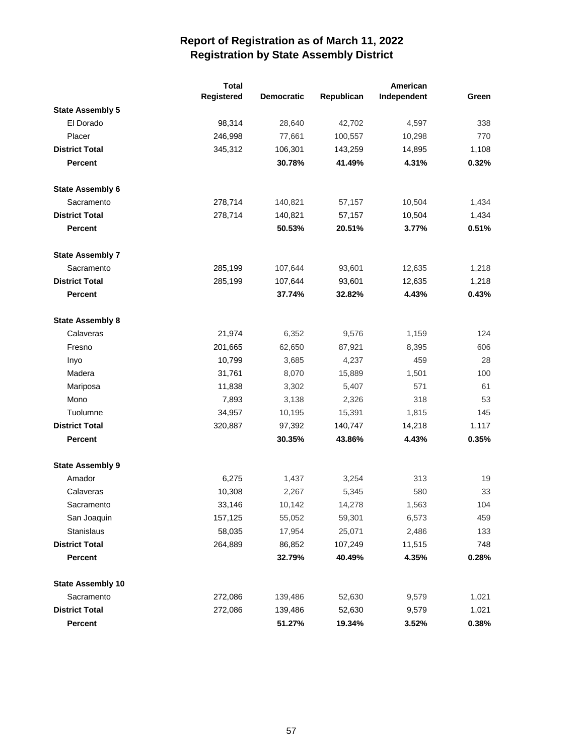|                          | <b>Total</b> |                   |            | American    |       |
|--------------------------|--------------|-------------------|------------|-------------|-------|
|                          | Registered   | <b>Democratic</b> | Republican | Independent | Green |
| <b>State Assembly 5</b>  |              |                   |            |             |       |
| El Dorado                | 98,314       | 28,640            | 42,702     | 4,597       | 338   |
| Placer                   | 246,998      | 77,661            | 100,557    | 10,298      | 770   |
| <b>District Total</b>    | 345,312      | 106,301           | 143,259    | 14,895      | 1,108 |
| <b>Percent</b>           |              | 30.78%            | 41.49%     | 4.31%       | 0.32% |
| <b>State Assembly 6</b>  |              |                   |            |             |       |
| Sacramento               | 278,714      | 140,821           | 57,157     | 10,504      | 1,434 |
| <b>District Total</b>    | 278,714      | 140,821           | 57,157     | 10,504      | 1,434 |
| <b>Percent</b>           |              | 50.53%            | 20.51%     | 3.77%       | 0.51% |
| <b>State Assembly 7</b>  |              |                   |            |             |       |
| Sacramento               | 285,199      | 107,644           | 93,601     | 12,635      | 1,218 |
| <b>District Total</b>    | 285,199      | 107,644           | 93,601     | 12,635      | 1,218 |
| <b>Percent</b>           |              | 37.74%            | 32.82%     | 4.43%       | 0.43% |
| <b>State Assembly 8</b>  |              |                   |            |             |       |
| Calaveras                | 21,974       | 6,352             | 9,576      | 1,159       | 124   |
| Fresno                   | 201,665      | 62,650            | 87,921     | 8,395       | 606   |
| Inyo                     | 10,799       | 3,685             | 4,237      | 459         | 28    |
| Madera                   | 31,761       | 8,070             | 15,889     | 1,501       | 100   |
| Mariposa                 | 11,838       | 3,302             | 5,407      | 571         | 61    |
| Mono                     | 7,893        | 3,138             | 2,326      | 318         | 53    |
| Tuolumne                 | 34,957       | 10,195            | 15,391     | 1,815       | 145   |
| <b>District Total</b>    | 320,887      | 97,392            | 140,747    | 14,218      | 1,117 |
| <b>Percent</b>           |              | 30.35%            | 43.86%     | 4.43%       | 0.35% |
| <b>State Assembly 9</b>  |              |                   |            |             |       |
| Amador                   | 6,275        | 1,437             | 3,254      | 313         | 19    |
| Calaveras                | 10,308       | 2,267             | 5,345      | 580         | 33    |
| Sacramento               | 33,146       | 10,142            | 14,278     | 1,563       | 104   |
| San Joaquin              | 157,125      | 55,052            | 59,301     | 6,573       | 459   |
| Stanislaus               | 58,035       | 17,954            | 25,071     | 2,486       | 133   |
| <b>District Total</b>    | 264,889      | 86,852            | 107,249    | 11,515      | 748   |
| Percent                  |              | 32.79%            | 40.49%     | 4.35%       | 0.28% |
| <b>State Assembly 10</b> |              |                   |            |             |       |
| Sacramento               | 272,086      | 139,486           | 52,630     | 9,579       | 1,021 |
| <b>District Total</b>    | 272,086      | 139,486           | 52,630     | 9,579       | 1,021 |
| Percent                  |              | 51.27%            | 19.34%     | 3.52%       | 0.38% |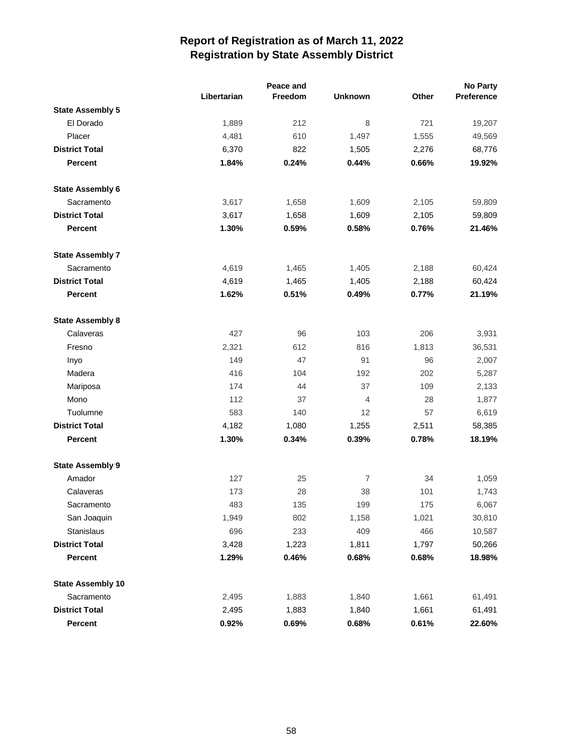|                          |             | Peace and |                |       | <b>No Party</b> |
|--------------------------|-------------|-----------|----------------|-------|-----------------|
|                          | Libertarian | Freedom   | <b>Unknown</b> | Other | Preference      |
| <b>State Assembly 5</b>  |             |           |                |       |                 |
| El Dorado                | 1,889       | 212       | 8              | 721   | 19,207          |
| Placer                   | 4,481       | 610       | 1,497          | 1,555 | 49,569          |
| <b>District Total</b>    | 6,370       | 822       | 1,505          | 2,276 | 68,776          |
| <b>Percent</b>           | 1.84%       | 0.24%     | 0.44%          | 0.66% | 19.92%          |
| <b>State Assembly 6</b>  |             |           |                |       |                 |
| Sacramento               | 3,617       | 1,658     | 1,609          | 2,105 | 59,809          |
| <b>District Total</b>    | 3,617       | 1,658     | 1,609          | 2,105 | 59,809          |
| <b>Percent</b>           | 1.30%       | 0.59%     | 0.58%          | 0.76% | 21.46%          |
| <b>State Assembly 7</b>  |             |           |                |       |                 |
| Sacramento               | 4,619       | 1,465     | 1,405          | 2,188 | 60,424          |
| <b>District Total</b>    | 4,619       | 1,465     | 1,405          | 2,188 | 60,424          |
| <b>Percent</b>           | 1.62%       | 0.51%     | 0.49%          | 0.77% | 21.19%          |
| <b>State Assembly 8</b>  |             |           |                |       |                 |
| Calaveras                | 427         | 96        | 103            | 206   | 3,931           |
| Fresno                   | 2,321       | 612       | 816            | 1,813 | 36,531          |
| Inyo                     | 149         | 47        | 91             | 96    | 2,007           |
| Madera                   | 416         | 104       | 192            | 202   | 5,287           |
| Mariposa                 | 174         | 44        | 37             | 109   | 2,133           |
| Mono                     | 112         | 37        | $\overline{4}$ | 28    | 1,877           |
| Tuolumne                 | 583         | 140       | 12             | 57    | 6,619           |
| <b>District Total</b>    | 4,182       | 1,080     | 1,255          | 2,511 | 58,385          |
| <b>Percent</b>           | 1.30%       | 0.34%     | 0.39%          | 0.78% | 18.19%          |
| <b>State Assembly 9</b>  |             |           |                |       |                 |
| Amador                   | 127         | 25        | $\overline{7}$ | 34    | 1,059           |
| Calaveras                | 173         | 28        | 38             | 101   | 1,743           |
| Sacramento               | 483         | 135       | 199            | 175   | 6,067           |
| San Joaquin              | 1,949       | 802       | 1,158          | 1,021 | 30,810          |
| Stanislaus               | 696         | 233       | 409            | 466   | 10,587          |
| <b>District Total</b>    | 3,428       | 1,223     | 1,811          | 1,797 | 50,266          |
| Percent                  | 1.29%       | 0.46%     | 0.68%          | 0.68% | 18.98%          |
| <b>State Assembly 10</b> |             |           |                |       |                 |
| Sacramento               | 2,495       | 1,883     | 1,840          | 1,661 | 61,491          |
| <b>District Total</b>    | 2,495       | 1,883     | 1,840          | 1,661 | 61,491          |
| Percent                  | 0.92%       | 0.69%     | 0.68%          | 0.61% | 22.60%          |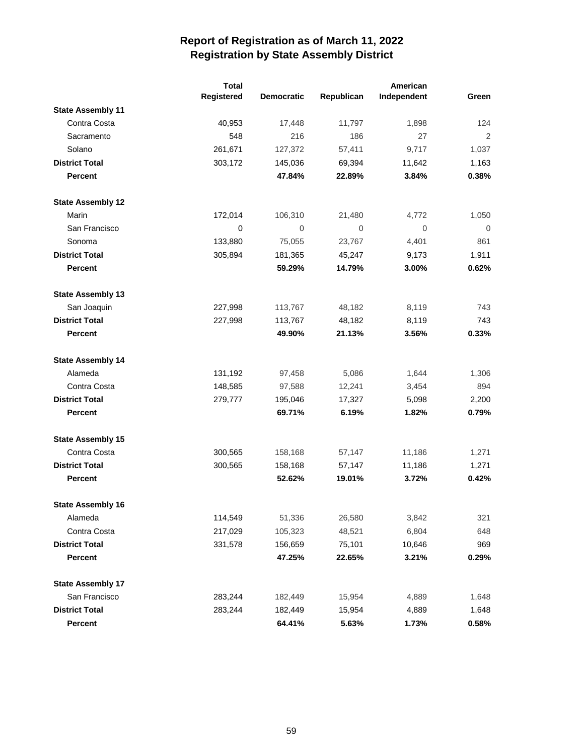|                          | <b>Total</b> | American          |             |             |                |
|--------------------------|--------------|-------------------|-------------|-------------|----------------|
|                          | Registered   | <b>Democratic</b> | Republican  | Independent | Green          |
| <b>State Assembly 11</b> |              |                   |             |             |                |
| Contra Costa             | 40,953       | 17,448            | 11,797      | 1,898       | 124            |
| Sacramento               | 548          | 216               | 186         | 27          | $\overline{2}$ |
| Solano                   | 261,671      | 127,372           | 57,411      | 9,717       | 1,037          |
| <b>District Total</b>    | 303,172      | 145,036           | 69,394      | 11,642      | 1,163          |
| <b>Percent</b>           |              | 47.84%            | 22.89%      | 3.84%       | 0.38%          |
| <b>State Assembly 12</b> |              |                   |             |             |                |
| Marin                    | 172,014      | 106,310           | 21,480      | 4,772       | 1,050          |
| San Francisco            | 0            | $\mathbf 0$       | $\mathbf 0$ | 0           | 0              |
| Sonoma                   | 133,880      | 75,055            | 23,767      | 4,401       | 861            |
| <b>District Total</b>    | 305,894      | 181,365           | 45,247      | 9,173       | 1,911          |
| <b>Percent</b>           |              | 59.29%            | 14.79%      | 3.00%       | 0.62%          |
| <b>State Assembly 13</b> |              |                   |             |             |                |
| San Joaquin              | 227,998      | 113,767           | 48,182      | 8,119       | 743            |
| <b>District Total</b>    | 227,998      | 113,767           | 48,182      | 8,119       | 743            |
| <b>Percent</b>           |              | 49.90%            | 21.13%      | 3.56%       | 0.33%          |
| <b>State Assembly 14</b> |              |                   |             |             |                |
| Alameda                  | 131,192      | 97,458            | 5,086       | 1,644       | 1,306          |
| Contra Costa             | 148,585      | 97,588            | 12,241      | 3,454       | 894            |
| <b>District Total</b>    | 279,777      | 195,046           | 17,327      | 5,098       | 2,200          |
| <b>Percent</b>           |              | 69.71%            | 6.19%       | 1.82%       | 0.79%          |
| <b>State Assembly 15</b> |              |                   |             |             |                |
| Contra Costa             | 300,565      | 158,168           | 57,147      | 11,186      | 1,271          |
| <b>District Total</b>    | 300,565      | 158,168           | 57,147      | 11,186      | 1,271          |
| <b>Percent</b>           |              | 52.62%            | 19.01%      | 3.72%       | 0.42%          |
| <b>State Assembly 16</b> |              |                   |             |             |                |
| Alameda                  | 114,549      | 51,336            | 26,580      | 3,842       | 321            |
| Contra Costa             | 217,029      | 105,323           | 48,521      | 6,804       | 648            |
| <b>District Total</b>    | 331,578      | 156,659           | 75,101      | 10,646      | 969            |
| <b>Percent</b>           |              | 47.25%            | 22.65%      | 3.21%       | 0.29%          |
| <b>State Assembly 17</b> |              |                   |             |             |                |
| San Francisco            | 283,244      | 182,449           | 15,954      | 4,889       | 1,648          |
| <b>District Total</b>    | 283,244      | 182,449           | 15,954      | 4,889       | 1,648          |
| Percent                  |              | 64.41%            | 5.63%       | 1.73%       | 0.58%          |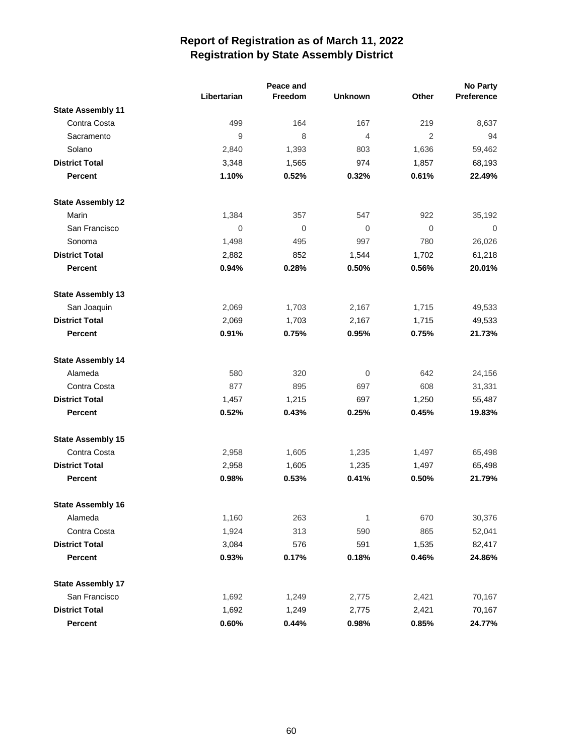|                          | Peace and   |             |                |                | No Party       |
|--------------------------|-------------|-------------|----------------|----------------|----------------|
|                          | Libertarian | Freedom     | <b>Unknown</b> | Other          | Preference     |
| <b>State Assembly 11</b> |             |             |                |                |                |
| Contra Costa             | 499         | 164         | 167            | 219            | 8,637          |
| Sacramento               | 9           | 8           | $\overline{4}$ | $\overline{2}$ | 94             |
| Solano                   | 2,840       | 1,393       | 803            | 1,636          | 59,462         |
| <b>District Total</b>    | 3,348       | 1,565       | 974            | 1,857          | 68,193         |
| Percent                  | 1.10%       | 0.52%       | 0.32%          | 0.61%          | 22.49%         |
| <b>State Assembly 12</b> |             |             |                |                |                |
| Marin                    | 1,384       | 357         | 547            | 922            | 35,192         |
| San Francisco            | 0           | $\mathbf 0$ | $\mathbf 0$    | $\mathbf 0$    | $\overline{0}$ |
| Sonoma                   | 1,498       | 495         | 997            | 780            | 26,026         |
| <b>District Total</b>    | 2,882       | 852         | 1,544          | 1,702          | 61,218         |
| Percent                  | 0.94%       | 0.28%       | 0.50%          | 0.56%          | 20.01%         |
| <b>State Assembly 13</b> |             |             |                |                |                |
| San Joaquin              | 2,069       | 1,703       | 2,167          | 1,715          | 49,533         |
| <b>District Total</b>    | 2,069       | 1,703       | 2,167          | 1,715          | 49,533         |
| Percent                  | 0.91%       | 0.75%       | 0.95%          | 0.75%          | 21.73%         |
| <b>State Assembly 14</b> |             |             |                |                |                |
| Alameda                  | 580         | 320         | 0              | 642            | 24,156         |
| Contra Costa             | 877         | 895         | 697            | 608            | 31,331         |
| <b>District Total</b>    | 1,457       | 1,215       | 697            | 1,250          | 55,487         |
| Percent                  | 0.52%       | 0.43%       | 0.25%          | 0.45%          | 19.83%         |
| <b>State Assembly 15</b> |             |             |                |                |                |
| Contra Costa             | 2,958       | 1,605       | 1,235          | 1,497          | 65,498         |
| <b>District Total</b>    | 2,958       | 1,605       | 1,235          | 1,497          | 65,498         |
| Percent                  | 0.98%       | 0.53%       | 0.41%          | 0.50%          | 21.79%         |
| <b>State Assembly 16</b> |             |             |                |                |                |
| Alameda                  | 1,160       | 263         | 1              | 670            | 30,376         |
| Contra Costa             | 1,924       | 313         | 590            | 865            | 52,041         |
| <b>District Total</b>    | 3,084       | 576         | 591            | 1,535          | 82,417         |
| Percent                  | 0.93%       | 0.17%       | 0.18%          | 0.46%          | 24.86%         |
| <b>State Assembly 17</b> |             |             |                |                |                |
| San Francisco            | 1,692       | 1,249       | 2,775          | 2,421          | 70,167         |
| <b>District Total</b>    | 1,692       | 1,249       | 2,775          | 2,421          | 70,167         |
| Percent                  | 0.60%       | 0.44%       | 0.98%          | 0.85%          | 24.77%         |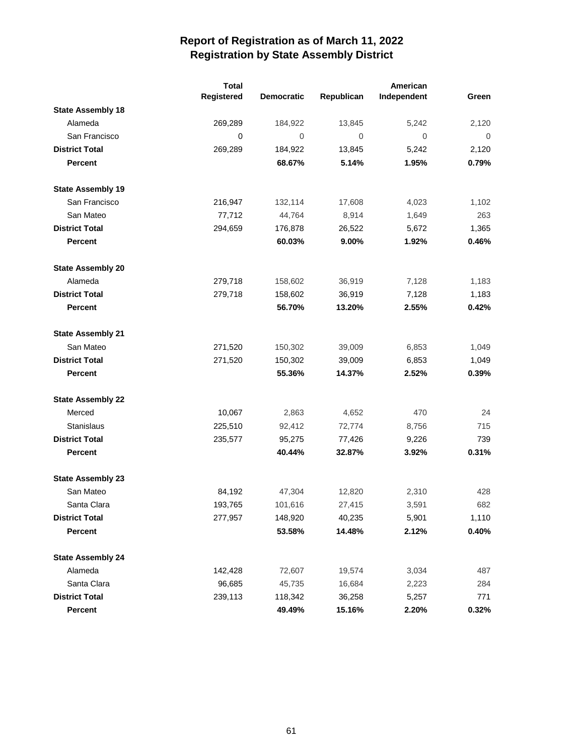|                          | <b>Total</b> |                   |              | American    |       |
|--------------------------|--------------|-------------------|--------------|-------------|-------|
|                          | Registered   | <b>Democratic</b> | Republican   | Independent | Green |
| <b>State Assembly 18</b> |              |                   |              |             |       |
| Alameda                  | 269,289      | 184,922           | 13,845       | 5,242       | 2,120 |
| San Francisco            | 0            | $\mathbf 0$       | $\mathbf{0}$ | 0           | 0     |
| <b>District Total</b>    | 269,289      | 184,922           | 13,845       | 5,242       | 2,120 |
| <b>Percent</b>           |              | 68.67%            | 5.14%        | 1.95%       | 0.79% |
| <b>State Assembly 19</b> |              |                   |              |             |       |
| San Francisco            | 216,947      | 132,114           | 17,608       | 4,023       | 1,102 |
| San Mateo                | 77,712       | 44,764            | 8,914        | 1,649       | 263   |
| <b>District Total</b>    | 294,659      | 176,878           | 26,522       | 5,672       | 1,365 |
| <b>Percent</b>           |              | 60.03%            | 9.00%        | 1.92%       | 0.46% |
| <b>State Assembly 20</b> |              |                   |              |             |       |
| Alameda                  | 279,718      | 158,602           | 36,919       | 7,128       | 1,183 |
| <b>District Total</b>    | 279,718      | 158,602           | 36,919       | 7,128       | 1,183 |
| <b>Percent</b>           |              | 56.70%            | 13.20%       | 2.55%       | 0.42% |
| <b>State Assembly 21</b> |              |                   |              |             |       |
| San Mateo                | 271,520      | 150,302           | 39,009       | 6,853       | 1,049 |
| <b>District Total</b>    | 271,520      | 150,302           | 39,009       | 6,853       | 1,049 |
| Percent                  |              | 55.36%            | 14.37%       | 2.52%       | 0.39% |
| <b>State Assembly 22</b> |              |                   |              |             |       |
| Merced                   | 10,067       | 2,863             | 4,652        | 470         | 24    |
| Stanislaus               | 225,510      | 92,412            | 72,774       | 8,756       | 715   |
| <b>District Total</b>    | 235,577      | 95,275            | 77,426       | 9,226       | 739   |
| <b>Percent</b>           |              | 40.44%            | 32.87%       | 3.92%       | 0.31% |
| <b>State Assembly 23</b> |              |                   |              |             |       |
| San Mateo                | 84,192       | 47,304            | 12,820       | 2,310       | 428   |
| Santa Clara              | 193,765      | 101,616           | 27,415       | 3,591       | 682   |
| <b>District Total</b>    | 277,957      | 148,920           | 40,235       | 5,901       | 1,110 |
| Percent                  |              | 53.58%            | 14.48%       | 2.12%       | 0.40% |
| <b>State Assembly 24</b> |              |                   |              |             |       |
| Alameda                  | 142,428      | 72,607            | 19,574       | 3,034       | 487   |
| Santa Clara              | 96,685       | 45,735            | 16,684       | 2,223       | 284   |
| <b>District Total</b>    | 239,113      | 118,342           | 36,258       | 5,257       | 771   |
| Percent                  |              | 49.49%            | 15.16%       | 2.20%       | 0.32% |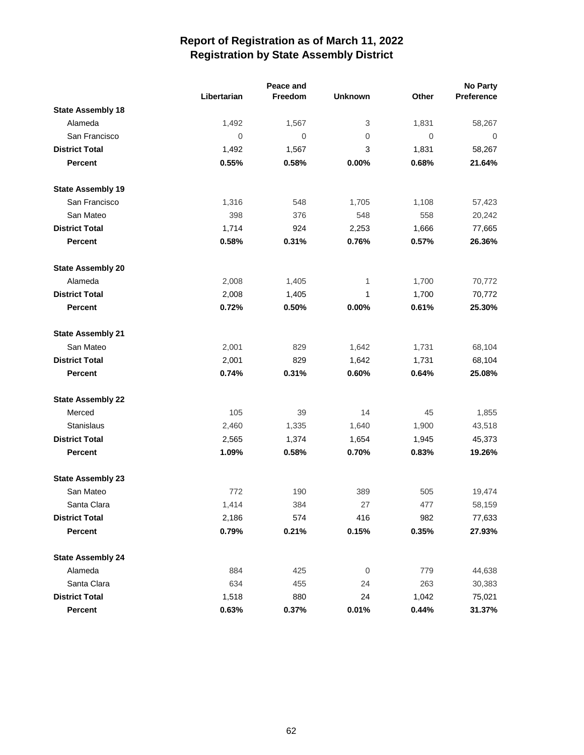|                          |             | Peace and   |                |             | <b>No Party</b> |
|--------------------------|-------------|-------------|----------------|-------------|-----------------|
|                          | Libertarian | Freedom     | <b>Unknown</b> | Other       | Preference      |
| <b>State Assembly 18</b> |             |             |                |             |                 |
| Alameda                  | 1,492       | 1,567       | 3              | 1,831       | 58,267          |
| San Francisco            | $\mathbf 0$ | $\mathbf 0$ | 0              | $\mathbf 0$ | $\overline{0}$  |
| <b>District Total</b>    | 1,492       | 1,567       | 3              | 1,831       | 58,267          |
| <b>Percent</b>           | 0.55%       | 0.58%       | 0.00%          | 0.68%       | 21.64%          |
| <b>State Assembly 19</b> |             |             |                |             |                 |
| San Francisco            | 1,316       | 548         | 1,705          | 1,108       | 57,423          |
| San Mateo                | 398         | 376         | 548            | 558         | 20,242          |
| <b>District Total</b>    | 1,714       | 924         | 2,253          | 1,666       | 77,665          |
| <b>Percent</b>           | 0.58%       | 0.31%       | 0.76%          | 0.57%       | 26.36%          |
| <b>State Assembly 20</b> |             |             |                |             |                 |
| Alameda                  | 2,008       | 1,405       | 1              | 1,700       | 70,772          |
| <b>District Total</b>    | 2,008       | 1,405       | 1              | 1,700       | 70,772          |
| <b>Percent</b>           | 0.72%       | 0.50%       | 0.00%          | 0.61%       | 25.30%          |
| <b>State Assembly 21</b> |             |             |                |             |                 |
| San Mateo                | 2,001       | 829         | 1,642          | 1,731       | 68,104          |
| <b>District Total</b>    | 2,001       | 829         | 1,642          | 1,731       | 68,104          |
| <b>Percent</b>           | 0.74%       | 0.31%       | 0.60%          | 0.64%       | 25.08%          |
| <b>State Assembly 22</b> |             |             |                |             |                 |
| Merced                   | 105         | 39          | 14             | 45          | 1,855           |
| <b>Stanislaus</b>        | 2,460       | 1,335       | 1,640          | 1,900       | 43,518          |
| <b>District Total</b>    | 2,565       | 1,374       | 1,654          | 1,945       | 45,373          |
| <b>Percent</b>           | 1.09%       | 0.58%       | 0.70%          | 0.83%       | 19.26%          |
| <b>State Assembly 23</b> |             |             |                |             |                 |
| San Mateo                | 772         | 190         | 389            | 505         | 19,474          |
| Santa Clara              | 1,414       | 384         | 27             | 477         | 58,159          |
| <b>District Total</b>    | 2,186       | 574         | 416            | 982         | 77,633          |
| Percent                  | 0.79%       | 0.21%       | 0.15%          | 0.35%       | 27.93%          |
| <b>State Assembly 24</b> |             |             |                |             |                 |
| Alameda                  | 884         | 425         | $\mathbf 0$    | 779         | 44,638          |
| Santa Clara              | 634         | 455         | 24             | 263         | 30,383          |
| <b>District Total</b>    | 1,518       | 880         | 24             | 1,042       | 75,021          |
| Percent                  | 0.63%       | 0.37%       | 0.01%          | 0.44%       | 31.37%          |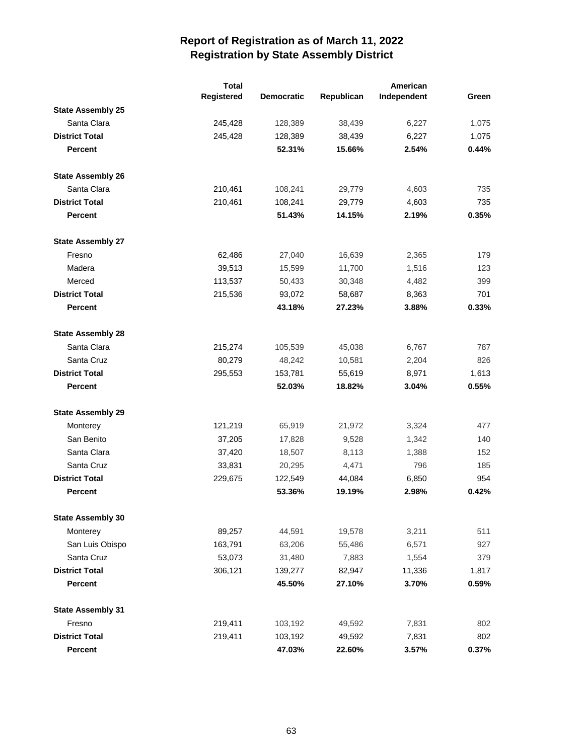|                          | <b>Total</b> |                   | American   |             |       |
|--------------------------|--------------|-------------------|------------|-------------|-------|
|                          | Registered   | <b>Democratic</b> | Republican | Independent | Green |
| <b>State Assembly 25</b> |              |                   |            |             |       |
| Santa Clara              | 245,428      | 128,389           | 38,439     | 6,227       | 1,075 |
| <b>District Total</b>    | 245,428      | 128,389           | 38,439     | 6,227       | 1,075 |
| <b>Percent</b>           |              | 52.31%            | 15.66%     | 2.54%       | 0.44% |
| <b>State Assembly 26</b> |              |                   |            |             |       |
| Santa Clara              | 210,461      | 108,241           | 29,779     | 4,603       | 735   |
| <b>District Total</b>    | 210,461      | 108,241           | 29,779     | 4,603       | 735   |
| <b>Percent</b>           |              | 51.43%            | 14.15%     | 2.19%       | 0.35% |
| <b>State Assembly 27</b> |              |                   |            |             |       |
| Fresno                   | 62,486       | 27,040            | 16,639     | 2,365       | 179   |
| Madera                   | 39,513       | 15,599            | 11,700     | 1,516       | 123   |
| Merced                   | 113,537      | 50,433            | 30,348     | 4,482       | 399   |
| <b>District Total</b>    | 215,536      | 93,072            | 58,687     | 8,363       | 701   |
| <b>Percent</b>           |              | 43.18%            | 27.23%     | 3.88%       | 0.33% |
| <b>State Assembly 28</b> |              |                   |            |             |       |
| Santa Clara              | 215,274      | 105,539           | 45,038     | 6,767       | 787   |
| Santa Cruz               | 80,279       | 48,242            | 10,581     | 2,204       | 826   |
| <b>District Total</b>    | 295,553      | 153,781           | 55,619     | 8,971       | 1,613 |
| <b>Percent</b>           |              | 52.03%            | 18.82%     | 3.04%       | 0.55% |
| <b>State Assembly 29</b> |              |                   |            |             |       |
| Monterey                 | 121,219      | 65,919            | 21,972     | 3,324       | 477   |
| San Benito               | 37,205       | 17,828            | 9,528      | 1,342       | 140   |
| Santa Clara              | 37,420       | 18,507            | 8,113      | 1,388       | 152   |
| Santa Cruz               | 33,831       | 20,295            | 4,471      | 796         | 185   |
| <b>District Total</b>    | 229,675      | 122,549           | 44,084     | 6,850       | 954   |
| <b>Percent</b>           |              | 53.36%            | 19.19%     | 2.98%       | 0.42% |
| <b>State Assembly 30</b> |              |                   |            |             |       |
| Monterey                 | 89,257       | 44,591            | 19,578     | 3,211       | 511   |
| San Luis Obispo          | 163,791      | 63,206            | 55,486     | 6,571       | 927   |
| Santa Cruz               | 53,073       | 31,480            | 7,883      | 1,554       | 379   |
| <b>District Total</b>    | 306,121      | 139,277           | 82,947     | 11,336      | 1,817 |
| <b>Percent</b>           |              | 45.50%            | 27.10%     | 3.70%       | 0.59% |
| <b>State Assembly 31</b> |              |                   |            |             |       |
| Fresno                   | 219,411      | 103,192           | 49,592     | 7,831       | 802   |
| <b>District Total</b>    | 219,411      | 103,192           | 49,592     | 7,831       | 802   |
| <b>Percent</b>           |              | 47.03%            | 22.60%     | 3.57%       | 0.37% |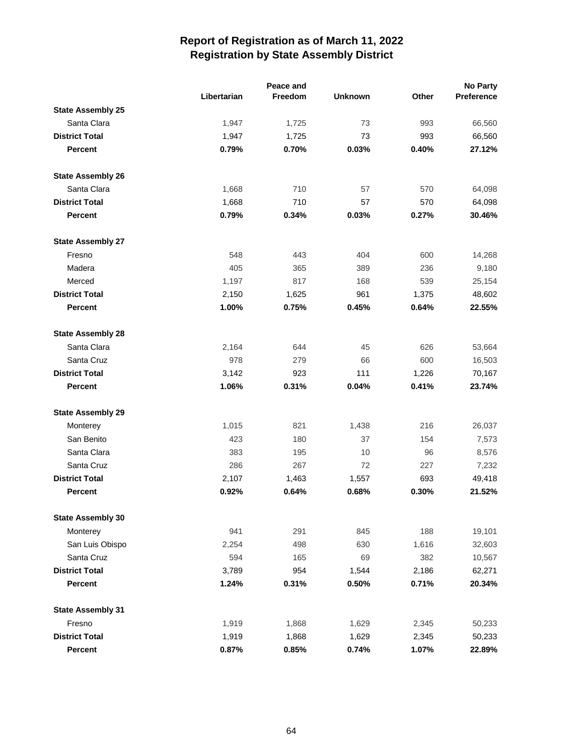|                          |             | Peace and |                |       | No Party   |
|--------------------------|-------------|-----------|----------------|-------|------------|
|                          | Libertarian | Freedom   | <b>Unknown</b> | Other | Preference |
| <b>State Assembly 25</b> |             |           |                |       |            |
| Santa Clara              | 1,947       | 1,725     | 73             | 993   | 66,560     |
| <b>District Total</b>    | 1,947       | 1,725     | 73             | 993   | 66,560     |
| <b>Percent</b>           | 0.79%       | 0.70%     | 0.03%          | 0.40% | 27.12%     |
| <b>State Assembly 26</b> |             |           |                |       |            |
| Santa Clara              | 1,668       | 710       | 57             | 570   | 64,098     |
| <b>District Total</b>    | 1,668       | 710       | 57             | 570   | 64,098     |
| <b>Percent</b>           | 0.79%       | 0.34%     | 0.03%          | 0.27% | 30.46%     |
| <b>State Assembly 27</b> |             |           |                |       |            |
| Fresno                   | 548         | 443       | 404            | 600   | 14,268     |
| Madera                   | 405         | 365       | 389            | 236   | 9,180      |
| Merced                   | 1,197       | 817       | 168            | 539   | 25,154     |
| <b>District Total</b>    | 2,150       | 1,625     | 961            | 1,375 | 48,602     |
| <b>Percent</b>           | 1.00%       | 0.75%     | 0.45%          | 0.64% | 22.55%     |
| <b>State Assembly 28</b> |             |           |                |       |            |
| Santa Clara              | 2,164       | 644       | 45             | 626   | 53,664     |
| Santa Cruz               | 978         | 279       | 66             | 600   | 16,503     |
| <b>District Total</b>    | 3,142       | 923       | 111            | 1,226 | 70,167     |
| <b>Percent</b>           | 1.06%       | 0.31%     | 0.04%          | 0.41% | 23.74%     |
| <b>State Assembly 29</b> |             |           |                |       |            |
| Monterey                 | 1,015       | 821       | 1,438          | 216   | 26,037     |
| San Benito               | 423         | 180       | 37             | 154   | 7,573      |
| Santa Clara              | 383         | 195       | 10             | 96    | 8,576      |
| Santa Cruz               | 286         | 267       | 72             | 227   | 7,232      |
| <b>District Total</b>    | 2,107       | 1,463     | 1,557          | 693   | 49,418     |
| <b>Percent</b>           | 0.92%       | 0.64%     | 0.68%          | 0.30% | 21.52%     |
| <b>State Assembly 30</b> |             |           |                |       |            |
| Monterey                 | 941         | 291       | 845            | 188   | 19,101     |
| San Luis Obispo          | 2,254       | 498       | 630            | 1,616 | 32,603     |
| Santa Cruz               | 594         | 165       | 69             | 382   | 10,567     |
| <b>District Total</b>    | 3,789       | 954       | 1,544          | 2,186 | 62,271     |
| Percent                  | 1.24%       | 0.31%     | 0.50%          | 0.71% | 20.34%     |
| <b>State Assembly 31</b> |             |           |                |       |            |
| Fresno                   | 1,919       | 1,868     | 1,629          | 2,345 | 50,233     |
| <b>District Total</b>    | 1,919       | 1,868     | 1,629          | 2,345 | 50,233     |
| <b>Percent</b>           | 0.87%       | 0.85%     | 0.74%          | 1.07% | 22.89%     |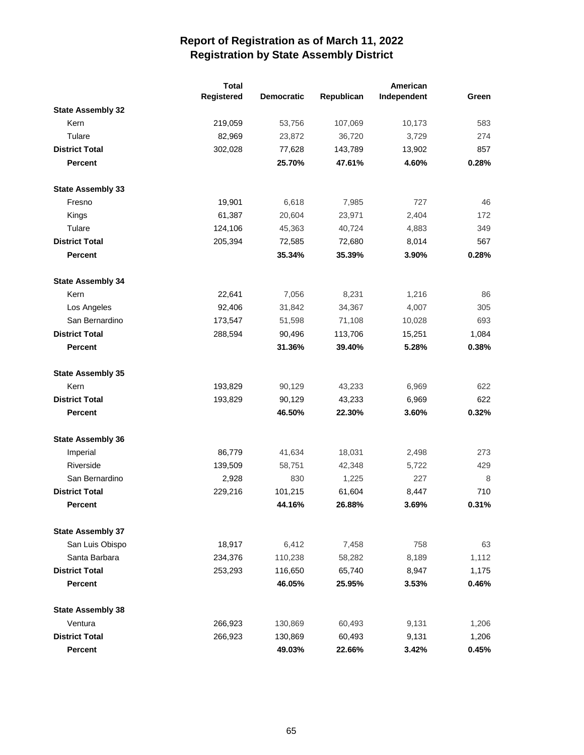|                          | <b>Total</b> |                   | American   |             |       |
|--------------------------|--------------|-------------------|------------|-------------|-------|
|                          | Registered   | <b>Democratic</b> | Republican | Independent | Green |
| <b>State Assembly 32</b> |              |                   |            |             |       |
| Kern                     | 219,059      | 53,756            | 107,069    | 10,173      | 583   |
| Tulare                   | 82,969       | 23,872            | 36,720     | 3,729       | 274   |
| <b>District Total</b>    | 302,028      | 77,628            | 143,789    | 13,902      | 857   |
| <b>Percent</b>           |              | 25.70%            | 47.61%     | 4.60%       | 0.28% |
| <b>State Assembly 33</b> |              |                   |            |             |       |
| Fresno                   | 19,901       | 6,618             | 7,985      | 727         | 46    |
| Kings                    | 61,387       | 20,604            | 23,971     | 2,404       | 172   |
| Tulare                   | 124,106      | 45,363            | 40,724     | 4,883       | 349   |
| <b>District Total</b>    | 205,394      | 72,585            | 72,680     | 8,014       | 567   |
| <b>Percent</b>           |              | 35.34%            | 35.39%     | 3.90%       | 0.28% |
| <b>State Assembly 34</b> |              |                   |            |             |       |
| Kern                     | 22,641       | 7,056             | 8,231      | 1,216       | 86    |
| Los Angeles              | 92,406       | 31,842            | 34,367     | 4,007       | 305   |
| San Bernardino           | 173,547      | 51,598            | 71,108     | 10,028      | 693   |
| <b>District Total</b>    | 288,594      | 90,496            | 113,706    | 15,251      | 1,084 |
| <b>Percent</b>           |              | 31.36%            | 39.40%     | 5.28%       | 0.38% |
| <b>State Assembly 35</b> |              |                   |            |             |       |
| Kern                     | 193,829      | 90,129            | 43,233     | 6,969       | 622   |
| <b>District Total</b>    | 193,829      | 90,129            | 43,233     | 6,969       | 622   |
| <b>Percent</b>           |              | 46.50%            | 22.30%     | 3.60%       | 0.32% |
| <b>State Assembly 36</b> |              |                   |            |             |       |
| Imperial                 | 86,779       | 41,634            | 18,031     | 2,498       | 273   |
| Riverside                | 139,509      | 58,751            | 42,348     | 5,722       | 429   |
| San Bernardino           | 2,928        | 830               | 1,225      | 227         | 8     |
| <b>District Total</b>    | 229,216      | 101,215           | 61,604     | 8,447       | 710   |
| Percent                  |              | 44.16%            | 26.88%     | 3.69%       | 0.31% |
| <b>State Assembly 37</b> |              |                   |            |             |       |
| San Luis Obispo          | 18,917       | 6,412             | 7,458      | 758         | 63    |
| Santa Barbara            | 234,376      | 110,238           | 58,282     | 8,189       | 1,112 |
| <b>District Total</b>    | 253,293      | 116,650           | 65,740     | 8,947       | 1,175 |
| Percent                  |              | 46.05%            | 25.95%     | 3.53%       | 0.46% |
| <b>State Assembly 38</b> |              |                   |            |             |       |
| Ventura                  | 266,923      | 130,869           | 60,493     | 9,131       | 1,206 |
| <b>District Total</b>    | 266,923      | 130,869           | 60,493     | 9,131       | 1,206 |
| <b>Percent</b>           |              | 49.03%            | 22.66%     | 3.42%       | 0.45% |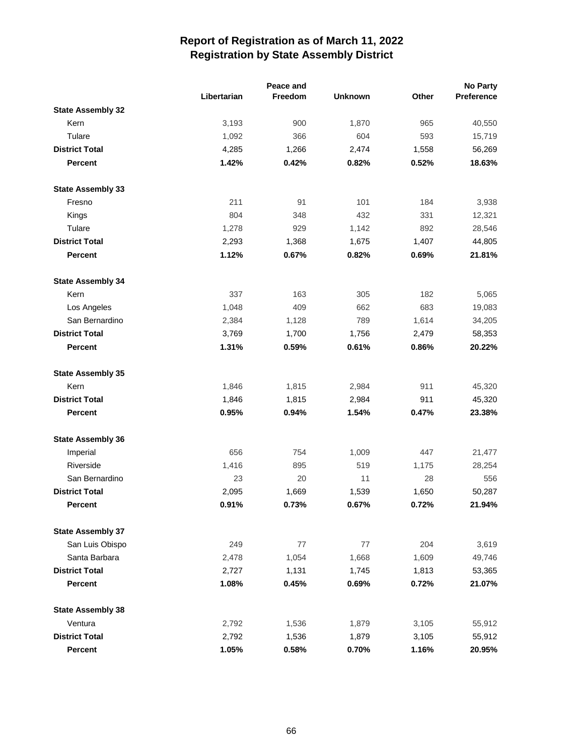|                          |             | Peace and |                |       | <b>No Party</b> |
|--------------------------|-------------|-----------|----------------|-------|-----------------|
|                          | Libertarian | Freedom   | <b>Unknown</b> | Other | Preference      |
| <b>State Assembly 32</b> |             |           |                |       |                 |
| Kern                     | 3,193       | 900       | 1,870          | 965   | 40,550          |
| Tulare                   | 1,092       | 366       | 604            | 593   | 15,719          |
| <b>District Total</b>    | 4,285       | 1,266     | 2,474          | 1,558 | 56,269          |
| <b>Percent</b>           | 1.42%       | 0.42%     | 0.82%          | 0.52% | 18.63%          |
| <b>State Assembly 33</b> |             |           |                |       |                 |
| Fresno                   | 211         | 91        | 101            | 184   | 3,938           |
| Kings                    | 804         | 348       | 432            | 331   | 12,321          |
| Tulare                   | 1,278       | 929       | 1,142          | 892   | 28,546          |
| <b>District Total</b>    | 2,293       | 1,368     | 1,675          | 1,407 | 44,805          |
| <b>Percent</b>           | 1.12%       | 0.67%     | 0.82%          | 0.69% | 21.81%          |
| <b>State Assembly 34</b> |             |           |                |       |                 |
| Kern                     | 337         | 163       | 305            | 182   | 5,065           |
| Los Angeles              | 1,048       | 409       | 662            | 683   | 19,083          |
| San Bernardino           | 2,384       | 1,128     | 789            | 1,614 | 34,205          |
| <b>District Total</b>    | 3,769       | 1,700     | 1,756          | 2,479 | 58,353          |
| <b>Percent</b>           | 1.31%       | 0.59%     | 0.61%          | 0.86% | 20.22%          |
| <b>State Assembly 35</b> |             |           |                |       |                 |
| Kern                     | 1,846       | 1,815     | 2,984          | 911   | 45,320          |
| <b>District Total</b>    | 1,846       | 1,815     | 2,984          | 911   | 45,320          |
| <b>Percent</b>           | 0.95%       | 0.94%     | 1.54%          | 0.47% | 23.38%          |
| <b>State Assembly 36</b> |             |           |                |       |                 |
| Imperial                 | 656         | 754       | 1,009          | 447   | 21,477          |
| Riverside                | 1,416       | 895       | 519            | 1,175 | 28,254          |
| San Bernardino           | 23          | 20        | 11             | 28    | 556             |
| <b>District Total</b>    | 2,095       | 1,669     | 1,539          | 1,650 | 50,287          |
| <b>Percent</b>           | 0.91%       | 0.73%     | 0.67%          | 0.72% | 21.94%          |
| <b>State Assembly 37</b> |             |           |                |       |                 |
| San Luis Obispo          | 249         | 77        | 77             | 204   | 3,619           |
| Santa Barbara            | 2,478       | 1,054     | 1,668          | 1,609 | 49,746          |
| <b>District Total</b>    | 2,727       | 1,131     | 1,745          | 1,813 | 53,365          |
| <b>Percent</b>           | 1.08%       | 0.45%     | 0.69%          | 0.72% | 21.07%          |
| <b>State Assembly 38</b> |             |           |                |       |                 |
| Ventura                  | 2,792       | 1,536     | 1,879          | 3,105 | 55,912          |
| <b>District Total</b>    | 2,792       | 1,536     | 1,879          | 3,105 | 55,912          |
| <b>Percent</b>           | 1.05%       | 0.58%     | 0.70%          | 1.16% | 20.95%          |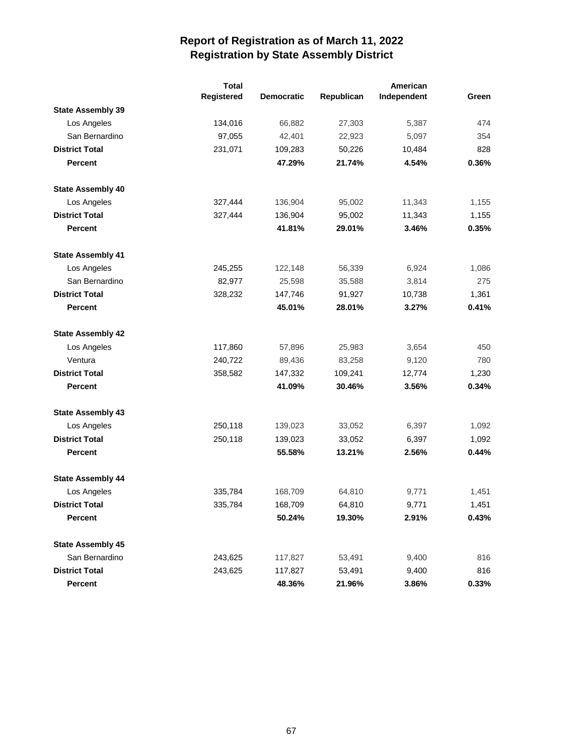|                          | <b>Total</b> |                   |            | American    |       |
|--------------------------|--------------|-------------------|------------|-------------|-------|
|                          | Registered   | <b>Democratic</b> | Republican | Independent | Green |
| <b>State Assembly 39</b> |              |                   |            |             |       |
| Los Angeles              | 134,016      | 66,882            | 27,303     | 5,387       | 474   |
| San Bernardino           | 97,055       | 42,401            | 22,923     | 5,097       | 354   |
| <b>District Total</b>    | 231,071      | 109,283           | 50,226     | 10,484      | 828   |
| <b>Percent</b>           |              | 47.29%            | 21.74%     | 4.54%       | 0.36% |
| <b>State Assembly 40</b> |              |                   |            |             |       |
| Los Angeles              | 327,444      | 136,904           | 95,002     | 11,343      | 1,155 |
| <b>District Total</b>    | 327,444      | 136,904           | 95,002     | 11,343      | 1,155 |
| <b>Percent</b>           |              | 41.81%            | 29.01%     | 3.46%       | 0.35% |
| <b>State Assembly 41</b> |              |                   |            |             |       |
| Los Angeles              | 245,255      | 122,148           | 56,339     | 6,924       | 1,086 |
| San Bernardino           | 82,977       | 25,598            | 35,588     | 3,814       | 275   |
| <b>District Total</b>    | 328,232      | 147,746           | 91,927     | 10,738      | 1,361 |
| Percent                  |              | 45.01%            | 28.01%     | 3.27%       | 0.41% |
| <b>State Assembly 42</b> |              |                   |            |             |       |
| Los Angeles              | 117,860      | 57,896            | 25,983     | 3,654       | 450   |
| Ventura                  | 240,722      | 89,436            | 83,258     | 9,120       | 780   |
| <b>District Total</b>    | 358,582      | 147,332           | 109,241    | 12,774      | 1,230 |
| <b>Percent</b>           |              | 41.09%            | 30.46%     | 3.56%       | 0.34% |
| <b>State Assembly 43</b> |              |                   |            |             |       |
| Los Angeles              | 250,118      | 139,023           | 33,052     | 6,397       | 1,092 |
| <b>District Total</b>    | 250,118      | 139,023           | 33,052     | 6,397       | 1,092 |
| <b>Percent</b>           |              | 55.58%            | 13.21%     | 2.56%       | 0.44% |
| <b>State Assembly 44</b> |              |                   |            |             |       |
| Los Angeles              | 335,784      | 168,709           | 64,810     | 9,771       | 1,451 |
| <b>District Total</b>    | 335,784      | 168,709           | 64,810     | 9,771       | 1,451 |
| Percent                  |              | 50.24%            | 19.30%     | 2.91%       | 0.43% |
| <b>State Assembly 45</b> |              |                   |            |             |       |
| San Bernardino           | 243,625      | 117,827           | 53,491     | 9,400       | 816   |
| <b>District Total</b>    | 243,625      | 117,827           | 53,491     | 9,400       | 816   |
| Percent                  |              | 48.36%            | 21.96%     | 3.86%       | 0.33% |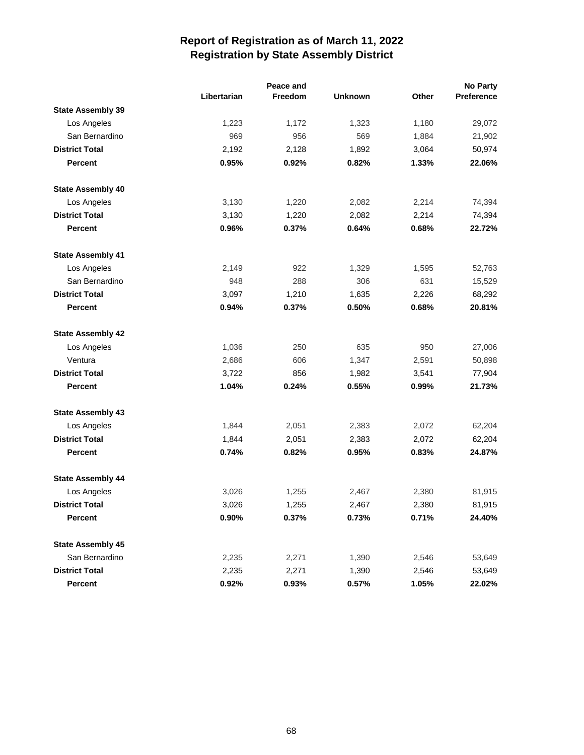|                          |             | Peace and |                |       | <b>No Party</b> |
|--------------------------|-------------|-----------|----------------|-------|-----------------|
|                          | Libertarian | Freedom   | <b>Unknown</b> | Other | Preference      |
| <b>State Assembly 39</b> |             |           |                |       |                 |
| Los Angeles              | 1,223       | 1,172     | 1,323          | 1,180 | 29,072          |
| San Bernardino           | 969         | 956       | 569            | 1,884 | 21,902          |
| <b>District Total</b>    | 2,192       | 2,128     | 1,892          | 3,064 | 50,974          |
| <b>Percent</b>           | 0.95%       | 0.92%     | 0.82%          | 1.33% | 22.06%          |
| <b>State Assembly 40</b> |             |           |                |       |                 |
| Los Angeles              | 3,130       | 1,220     | 2,082          | 2,214 | 74,394          |
| <b>District Total</b>    | 3,130       | 1,220     | 2,082          | 2,214 | 74,394          |
| <b>Percent</b>           | 0.96%       | 0.37%     | 0.64%          | 0.68% | 22.72%          |
| <b>State Assembly 41</b> |             |           |                |       |                 |
| Los Angeles              | 2,149       | 922       | 1,329          | 1,595 | 52,763          |
| San Bernardino           | 948         | 288       | 306            | 631   | 15,529          |
| <b>District Total</b>    | 3,097       | 1,210     | 1,635          | 2,226 | 68,292          |
| <b>Percent</b>           | 0.94%       | 0.37%     | 0.50%          | 0.68% | 20.81%          |
| <b>State Assembly 42</b> |             |           |                |       |                 |
| Los Angeles              | 1,036       | 250       | 635            | 950   | 27,006          |
| Ventura                  | 2,686       | 606       | 1,347          | 2,591 | 50,898          |
| <b>District Total</b>    | 3,722       | 856       | 1,982          | 3,541 | 77,904          |
| <b>Percent</b>           | 1.04%       | 0.24%     | 0.55%          | 0.99% | 21.73%          |
| <b>State Assembly 43</b> |             |           |                |       |                 |
| Los Angeles              | 1,844       | 2,051     | 2,383          | 2,072 | 62,204          |
| <b>District Total</b>    | 1,844       | 2,051     | 2,383          | 2,072 | 62,204          |
| <b>Percent</b>           | 0.74%       | 0.82%     | 0.95%          | 0.83% | 24.87%          |
| <b>State Assembly 44</b> |             |           |                |       |                 |
| Los Angeles              | 3,026       | 1,255     | 2,467          | 2,380 | 81,915          |
| <b>District Total</b>    | 3,026       | 1,255     | 2,467          | 2,380 | 81,915          |
| Percent                  | 0.90%       | 0.37%     | 0.73%          | 0.71% | 24.40%          |
| <b>State Assembly 45</b> |             |           |                |       |                 |
| San Bernardino           | 2,235       | 2,271     | 1,390          | 2,546 | 53,649          |
| <b>District Total</b>    | 2,235       | 2,271     | 1,390          | 2,546 | 53,649          |
| Percent                  | 0.92%       | 0.93%     | 0.57%          | 1.05% | 22.02%          |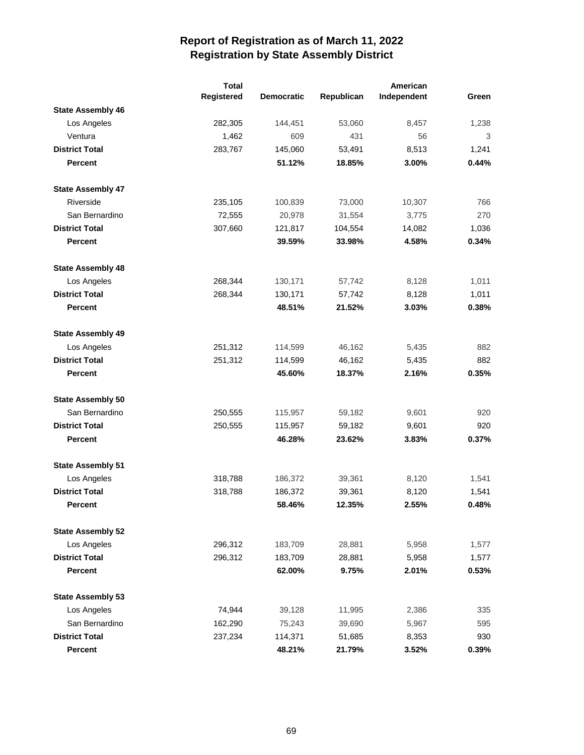|                          | <b>Total</b> |                   |            | American    |       |
|--------------------------|--------------|-------------------|------------|-------------|-------|
|                          | Registered   | <b>Democratic</b> | Republican | Independent | Green |
| <b>State Assembly 46</b> |              |                   |            |             |       |
| Los Angeles              | 282,305      | 144,451           | 53,060     | 8,457       | 1,238 |
| Ventura                  | 1,462        | 609               | 431        | 56          | 3     |
| <b>District Total</b>    | 283,767      | 145,060           | 53,491     | 8,513       | 1,241 |
| <b>Percent</b>           |              | 51.12%            | 18.85%     | 3.00%       | 0.44% |
| <b>State Assembly 47</b> |              |                   |            |             |       |
| Riverside                | 235,105      | 100,839           | 73,000     | 10,307      | 766   |
| San Bernardino           | 72,555       | 20,978            | 31,554     | 3,775       | 270   |
| <b>District Total</b>    | 307,660      | 121,817           | 104,554    | 14,082      | 1,036 |
| <b>Percent</b>           |              | 39.59%            | 33.98%     | 4.58%       | 0.34% |
| <b>State Assembly 48</b> |              |                   |            |             |       |
| Los Angeles              | 268,344      | 130,171           | 57,742     | 8,128       | 1,011 |
| <b>District Total</b>    | 268,344      | 130,171           | 57,742     | 8,128       | 1,011 |
| <b>Percent</b>           |              | 48.51%            | 21.52%     | 3.03%       | 0.38% |
| <b>State Assembly 49</b> |              |                   |            |             |       |
| Los Angeles              | 251,312      | 114,599           | 46,162     | 5,435       | 882   |
| <b>District Total</b>    | 251,312      | 114,599           | 46,162     | 5,435       | 882   |
| <b>Percent</b>           |              | 45.60%            | 18.37%     | 2.16%       | 0.35% |
| <b>State Assembly 50</b> |              |                   |            |             |       |
| San Bernardino           | 250,555      | 115,957           | 59,182     | 9,601       | 920   |
| <b>District Total</b>    | 250,555      | 115,957           | 59,182     | 9,601       | 920   |
| <b>Percent</b>           |              | 46.28%            | 23.62%     | 3.83%       | 0.37% |
| <b>State Assembly 51</b> |              |                   |            |             |       |
| Los Angeles              | 318,788      | 186,372           | 39,361     | 8,120       | 1,541 |
| <b>District Total</b>    | 318,788      | 186,372           | 39,361     | 8,120       | 1,541 |
| <b>Percent</b>           |              | 58.46%            | 12.35%     | 2.55%       | 0.48% |
| <b>State Assembly 52</b> |              |                   |            |             |       |
| Los Angeles              | 296,312      | 183,709           | 28,881     | 5,958       | 1,577 |
| <b>District Total</b>    | 296,312      | 183,709           | 28,881     | 5,958       | 1,577 |
| <b>Percent</b>           |              | 62.00%            | 9.75%      | 2.01%       | 0.53% |
| <b>State Assembly 53</b> |              |                   |            |             |       |
| Los Angeles              | 74,944       | 39,128            | 11,995     | 2,386       | 335   |
| San Bernardino           | 162,290      | 75,243            | 39,690     | 5,967       | 595   |
| <b>District Total</b>    | 237,234      | 114,371           | 51,685     | 8,353       | 930   |
| <b>Percent</b>           |              | 48.21%            | 21.79%     | 3.52%       | 0.39% |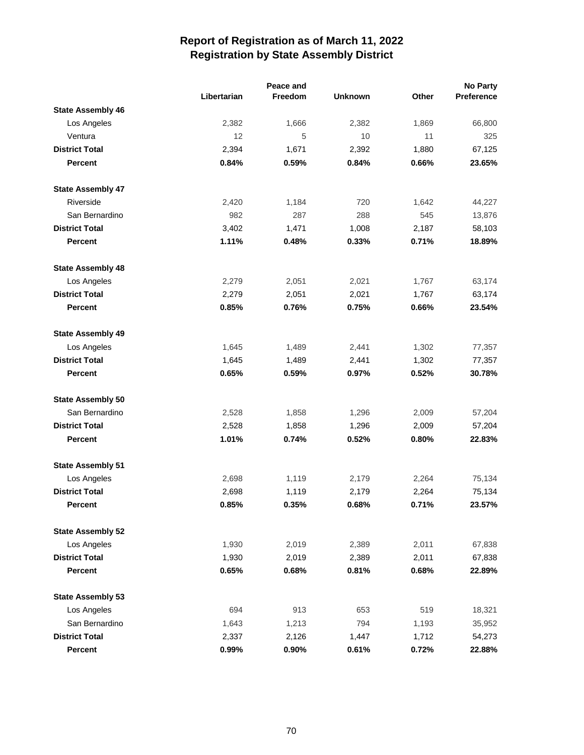|                          |             | Peace and |                |       | <b>No Party</b> |
|--------------------------|-------------|-----------|----------------|-------|-----------------|
|                          | Libertarian | Freedom   | <b>Unknown</b> | Other | Preference      |
| <b>State Assembly 46</b> |             |           |                |       |                 |
| Los Angeles              | 2,382       | 1,666     | 2,382          | 1,869 | 66,800          |
| Ventura                  | 12          | 5         | 10             | 11    | 325             |
| <b>District Total</b>    | 2,394       | 1,671     | 2,392          | 1,880 | 67,125          |
| Percent                  | 0.84%       | 0.59%     | 0.84%          | 0.66% | 23.65%          |
| <b>State Assembly 47</b> |             |           |                |       |                 |
| Riverside                | 2,420       | 1,184     | 720            | 1,642 | 44,227          |
| San Bernardino           | 982         | 287       | 288            | 545   | 13,876          |
| <b>District Total</b>    | 3,402       | 1,471     | 1,008          | 2,187 | 58,103          |
| Percent                  | 1.11%       | 0.48%     | 0.33%          | 0.71% | 18.89%          |
| <b>State Assembly 48</b> |             |           |                |       |                 |
| Los Angeles              | 2,279       | 2,051     | 2,021          | 1,767 | 63,174          |
| <b>District Total</b>    | 2,279       | 2,051     | 2,021          | 1,767 | 63,174          |
| <b>Percent</b>           | 0.85%       | 0.76%     | 0.75%          | 0.66% | 23.54%          |
| <b>State Assembly 49</b> |             |           |                |       |                 |
| Los Angeles              | 1,645       | 1,489     | 2,441          | 1,302 | 77,357          |
| <b>District Total</b>    | 1,645       | 1,489     | 2,441          | 1,302 | 77,357          |
| Percent                  | 0.65%       | 0.59%     | 0.97%          | 0.52% | 30.78%          |
| <b>State Assembly 50</b> |             |           |                |       |                 |
| San Bernardino           | 2,528       | 1,858     | 1,296          | 2,009 | 57,204          |
| <b>District Total</b>    | 2,528       | 1,858     | 1,296          | 2,009 | 57,204          |
| Percent                  | 1.01%       | 0.74%     | 0.52%          | 0.80% | 22.83%          |
| <b>State Assembly 51</b> |             |           |                |       |                 |
| Los Angeles              | 2,698       | 1,119     | 2,179          | 2,264 | 75,134          |
| <b>District Total</b>    | 2,698       | 1,119     | 2,179          | 2,264 | 75,134          |
| <b>Percent</b>           | 0.85%       | 0.35%     | 0.68%          | 0.71% | 23.57%          |
| <b>State Assembly 52</b> |             |           |                |       |                 |
| Los Angeles              | 1,930       | 2,019     | 2,389          | 2,011 | 67,838          |
| <b>District Total</b>    | 1,930       | 2,019     | 2,389          | 2,011 | 67,838          |
| Percent                  | 0.65%       | 0.68%     | 0.81%          | 0.68% | 22.89%          |
| <b>State Assembly 53</b> |             |           |                |       |                 |
| Los Angeles              | 694         | 913       | 653            | 519   | 18,321          |
| San Bernardino           | 1,643       | 1,213     | 794            | 1,193 | 35,952          |
| <b>District Total</b>    | 2,337       | 2,126     | 1,447          | 1,712 | 54,273          |
| <b>Percent</b>           | 0.99%       | $0.90\%$  | 0.61%          | 0.72% | 22.88%          |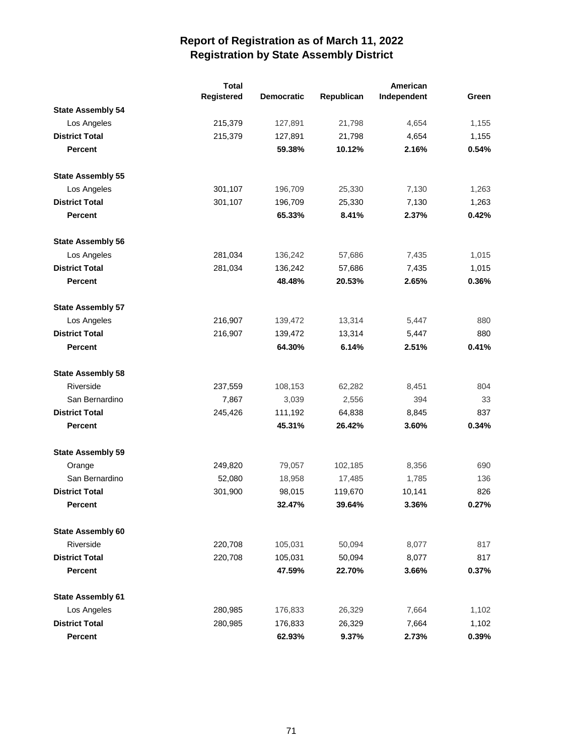|                          | <b>Total</b> | American          |            |             |       |
|--------------------------|--------------|-------------------|------------|-------------|-------|
|                          | Registered   | <b>Democratic</b> | Republican | Independent | Green |
| <b>State Assembly 54</b> |              |                   |            |             |       |
| Los Angeles              | 215,379      | 127,891           | 21,798     | 4,654       | 1,155 |
| <b>District Total</b>    | 215,379      | 127,891           | 21,798     | 4,654       | 1,155 |
| <b>Percent</b>           |              | 59.38%            | 10.12%     | 2.16%       | 0.54% |
| <b>State Assembly 55</b> |              |                   |            |             |       |
| Los Angeles              | 301,107      | 196,709           | 25,330     | 7,130       | 1,263 |
| <b>District Total</b>    | 301,107      | 196,709           | 25,330     | 7,130       | 1,263 |
| <b>Percent</b>           |              | 65.33%            | 8.41%      | 2.37%       | 0.42% |
| <b>State Assembly 56</b> |              |                   |            |             |       |
| Los Angeles              | 281,034      | 136,242           | 57,686     | 7,435       | 1,015 |
| <b>District Total</b>    | 281,034      | 136,242           | 57,686     | 7,435       | 1,015 |
| <b>Percent</b>           |              | 48.48%            | 20.53%     | 2.65%       | 0.36% |
| <b>State Assembly 57</b> |              |                   |            |             |       |
| Los Angeles              | 216,907      | 139,472           | 13,314     | 5,447       | 880   |
| <b>District Total</b>    | 216,907      | 139,472           | 13,314     | 5,447       | 880   |
| <b>Percent</b>           |              | 64.30%            | 6.14%      | 2.51%       | 0.41% |
| <b>State Assembly 58</b> |              |                   |            |             |       |
| Riverside                | 237,559      | 108,153           | 62,282     | 8,451       | 804   |
| San Bernardino           | 7,867        | 3,039             | 2,556      | 394         | 33    |
| <b>District Total</b>    | 245,426      | 111,192           | 64,838     | 8,845       | 837   |
| <b>Percent</b>           |              | 45.31%            | 26.42%     | 3.60%       | 0.34% |
| <b>State Assembly 59</b> |              |                   |            |             |       |
| Orange                   | 249,820      | 79,057            | 102,185    | 8,356       | 690   |
| San Bernardino           | 52,080       | 18,958            | 17,485     | 1,785       | 136   |
| <b>District Total</b>    | 301,900      | 98,015            | 119,670    | 10,141      | 826   |
| <b>Percent</b>           |              | 32.47%            | 39.64%     | 3.36%       | 0.27% |
| <b>State Assembly 60</b> |              |                   |            |             |       |
| Riverside                | 220,708      | 105,031           | 50,094     | 8,077       | 817   |
| <b>District Total</b>    | 220,708      | 105,031           | 50,094     | 8,077       | 817   |
| <b>Percent</b>           |              | 47.59%            | 22.70%     | 3.66%       | 0.37% |
| <b>State Assembly 61</b> |              |                   |            |             |       |
| Los Angeles              | 280,985      | 176,833           | 26,329     | 7,664       | 1,102 |
| <b>District Total</b>    | 280,985      | 176,833           | 26,329     | 7,664       | 1,102 |
| <b>Percent</b>           |              | 62.93%            | 9.37%      | 2.73%       | 0.39% |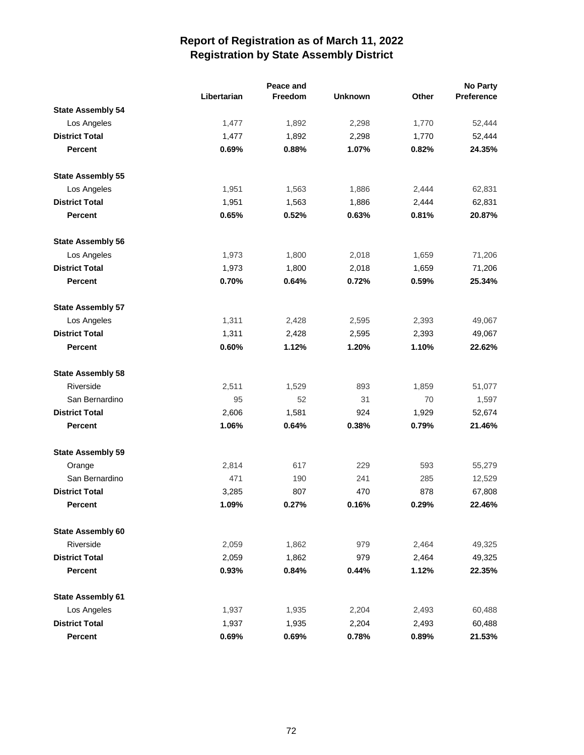|                          |             | Peace and |                |       | No Party   |
|--------------------------|-------------|-----------|----------------|-------|------------|
|                          | Libertarian | Freedom   | <b>Unknown</b> | Other | Preference |
| <b>State Assembly 54</b> |             |           |                |       |            |
| Los Angeles              | 1,477       | 1,892     | 2,298          | 1,770 | 52,444     |
| <b>District Total</b>    | 1,477       | 1,892     | 2,298          | 1,770 | 52,444     |
| <b>Percent</b>           | 0.69%       | 0.88%     | 1.07%          | 0.82% | 24.35%     |
| <b>State Assembly 55</b> |             |           |                |       |            |
| Los Angeles              | 1,951       | 1,563     | 1,886          | 2,444 | 62,831     |
| <b>District Total</b>    | 1,951       | 1,563     | 1,886          | 2,444 | 62,831     |
| <b>Percent</b>           | 0.65%       | 0.52%     | 0.63%          | 0.81% | 20.87%     |
| <b>State Assembly 56</b> |             |           |                |       |            |
| Los Angeles              | 1,973       | 1,800     | 2,018          | 1,659 | 71,206     |
| <b>District Total</b>    | 1,973       | 1,800     | 2,018          | 1,659 | 71,206     |
| <b>Percent</b>           | 0.70%       | 0.64%     | 0.72%          | 0.59% | 25.34%     |
| <b>State Assembly 57</b> |             |           |                |       |            |
| Los Angeles              | 1,311       | 2,428     | 2,595          | 2,393 | 49,067     |
| <b>District Total</b>    | 1,311       | 2,428     | 2,595          | 2,393 | 49,067     |
| <b>Percent</b>           | 0.60%       | 1.12%     | 1.20%          | 1.10% | 22.62%     |
| <b>State Assembly 58</b> |             |           |                |       |            |
| Riverside                | 2,511       | 1,529     | 893            | 1,859 | 51,077     |
| San Bernardino           | 95          | 52        | 31             | 70    | 1,597      |
| <b>District Total</b>    | 2,606       | 1,581     | 924            | 1,929 | 52,674     |
| <b>Percent</b>           | 1.06%       | 0.64%     | 0.38%          | 0.79% | 21.46%     |
| <b>State Assembly 59</b> |             |           |                |       |            |
| Orange                   | 2,814       | 617       | 229            | 593   | 55,279     |
| San Bernardino           | 471         | 190       | 241            | 285   | 12,529     |
| <b>District Total</b>    | 3,285       | 807       | 470            | 878   | 67,808     |
| <b>Percent</b>           | 1.09%       | 0.27%     | 0.16%          | 0.29% | 22.46%     |
| <b>State Assembly 60</b> |             |           |                |       |            |
| Riverside                | 2,059       | 1,862     | 979            | 2,464 | 49,325     |
| <b>District Total</b>    | 2,059       | 1,862     | 979            | 2,464 | 49,325     |
| Percent                  | 0.93%       | 0.84%     | 0.44%          | 1.12% | 22.35%     |
| <b>State Assembly 61</b> |             |           |                |       |            |
| Los Angeles              | 1,937       | 1,935     | 2,204          | 2,493 | 60,488     |
| <b>District Total</b>    | 1,937       | 1,935     | 2,204          | 2,493 | 60,488     |
| <b>Percent</b>           | 0.69%       | 0.69%     | 0.78%          | 0.89% | 21.53%     |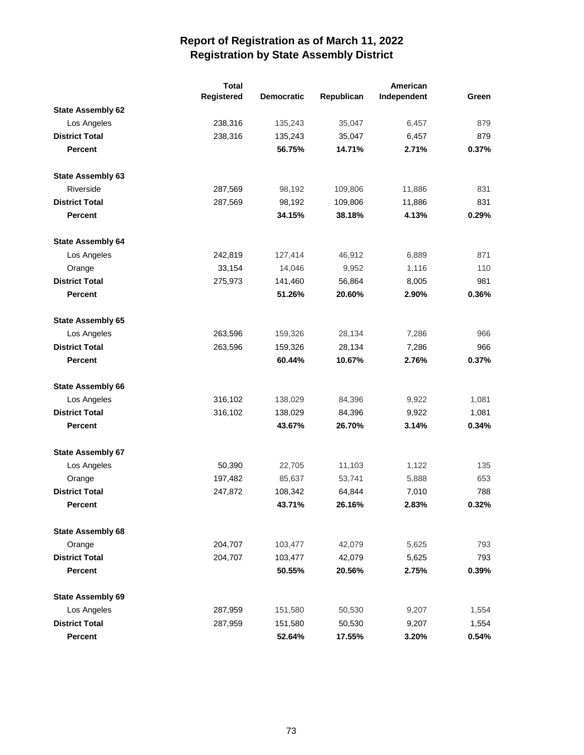|                          | <b>Total</b> |                   |            | American    |       |
|--------------------------|--------------|-------------------|------------|-------------|-------|
|                          | Registered   | <b>Democratic</b> | Republican | Independent | Green |
| <b>State Assembly 62</b> |              |                   |            |             |       |
| Los Angeles              | 238,316      | 135,243           | 35,047     | 6,457       | 879   |
| <b>District Total</b>    | 238,316      | 135,243           | 35,047     | 6,457       | 879   |
| <b>Percent</b>           |              | 56.75%            | 14.71%     | 2.71%       | 0.37% |
| <b>State Assembly 63</b> |              |                   |            |             |       |
| Riverside                | 287,569      | 98,192            | 109,806    | 11,886      | 831   |
| <b>District Total</b>    | 287,569      | 98,192            | 109,806    | 11,886      | 831   |
| Percent                  |              | 34.15%            | 38.18%     | 4.13%       | 0.29% |
| <b>State Assembly 64</b> |              |                   |            |             |       |
| Los Angeles              | 242,819      | 127,414           | 46,912     | 6,889       | 871   |
| Orange                   | 33,154       | 14,046            | 9,952      | 1,116       | 110   |
| <b>District Total</b>    | 275,973      | 141,460           | 56,864     | 8,005       | 981   |
| <b>Percent</b>           |              | 51.26%            | 20.60%     | 2.90%       | 0.36% |
| <b>State Assembly 65</b> |              |                   |            |             |       |
| Los Angeles              | 263,596      | 159,326           | 28,134     | 7,286       | 966   |
| <b>District Total</b>    | 263,596      | 159,326           | 28,134     | 7,286       | 966   |
| <b>Percent</b>           |              | 60.44%            | 10.67%     | 2.76%       | 0.37% |
| <b>State Assembly 66</b> |              |                   |            |             |       |
| Los Angeles              | 316,102      | 138,029           | 84,396     | 9,922       | 1,081 |
| <b>District Total</b>    | 316,102      | 138,029           | 84,396     | 9,922       | 1,081 |
| <b>Percent</b>           |              | 43.67%            | 26.70%     | 3.14%       | 0.34% |
| <b>State Assembly 67</b> |              |                   |            |             |       |
| Los Angeles              | 50,390       | 22,705            | 11,103     | 1,122       | 135   |
| Orange                   | 197,482      | 85,637            | 53,741     | 5,888       | 653   |
| <b>District Total</b>    | 247,872      | 108,342           | 64,844     | 7,010       | 788   |
| <b>Percent</b>           |              | 43.71%            | 26.16%     | 2.83%       | 0.32% |
| <b>State Assembly 68</b> |              |                   |            |             |       |
| Orange                   | 204,707      | 103,477           | 42,079     | 5,625       | 793   |
| <b>District Total</b>    | 204,707      | 103,477           | 42,079     | 5,625       | 793   |
| <b>Percent</b>           |              | 50.55%            | 20.56%     | 2.75%       | 0.39% |
| <b>State Assembly 69</b> |              |                   |            |             |       |
| Los Angeles              | 287,959      | 151,580           | 50,530     | 9,207       | 1,554 |
| <b>District Total</b>    | 287,959      | 151,580           | 50,530     | 9,207       | 1,554 |
| <b>Percent</b>           |              | 52.64%            | 17.55%     | 3.20%       | 0.54% |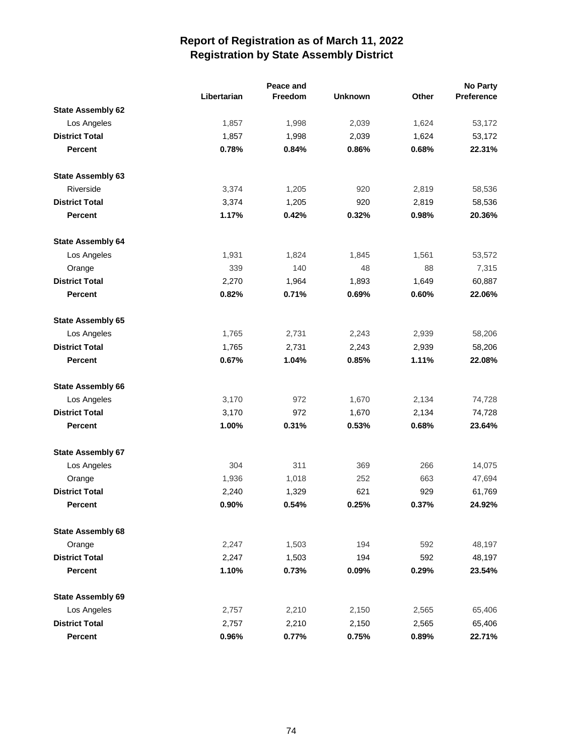|                          |             | Peace and |                |       | No Party   |
|--------------------------|-------------|-----------|----------------|-------|------------|
|                          | Libertarian | Freedom   | <b>Unknown</b> | Other | Preference |
| <b>State Assembly 62</b> |             |           |                |       |            |
| Los Angeles              | 1,857       | 1,998     | 2,039          | 1,624 | 53,172     |
| <b>District Total</b>    | 1,857       | 1,998     | 2,039          | 1,624 | 53,172     |
| Percent                  | 0.78%       | 0.84%     | 0.86%          | 0.68% | 22.31%     |
| State Assembly 63        |             |           |                |       |            |
| Riverside                | 3,374       | 1,205     | 920            | 2,819 | 58,536     |
| <b>District Total</b>    | 3,374       | 1,205     | 920            | 2,819 | 58,536     |
| Percent                  | 1.17%       | 0.42%     | 0.32%          | 0.98% | 20.36%     |
| <b>State Assembly 64</b> |             |           |                |       |            |
| Los Angeles              | 1,931       | 1,824     | 1,845          | 1,561 | 53,572     |
| Orange                   | 339         | 140       | 48             | 88    | 7,315      |
| <b>District Total</b>    | 2,270       | 1,964     | 1,893          | 1,649 | 60,887     |
| <b>Percent</b>           | 0.82%       | 0.71%     | 0.69%          | 0.60% | 22.06%     |
| <b>State Assembly 65</b> |             |           |                |       |            |
| Los Angeles              | 1,765       | 2,731     | 2,243          | 2,939 | 58,206     |
| <b>District Total</b>    | 1,765       | 2,731     | 2,243          | 2,939 | 58,206     |
| <b>Percent</b>           | 0.67%       | 1.04%     | 0.85%          | 1.11% | 22.08%     |
| <b>State Assembly 66</b> |             |           |                |       |            |
| Los Angeles              | 3,170       | 972       | 1,670          | 2,134 | 74,728     |
| <b>District Total</b>    | 3,170       | 972       | 1,670          | 2,134 | 74,728     |
| <b>Percent</b>           | 1.00%       | 0.31%     | 0.53%          | 0.68% | 23.64%     |
| <b>State Assembly 67</b> |             |           |                |       |            |
| Los Angeles              | 304         | 311       | 369            | 266   | 14,075     |
| Orange                   | 1,936       | 1,018     | 252            | 663   | 47,694     |
| <b>District Total</b>    | 2,240       | 1,329     | 621            | 929   | 61,769     |
| <b>Percent</b>           | 0.90%       | 0.54%     | 0.25%          | 0.37% | 24.92%     |
| <b>State Assembly 68</b> |             |           |                |       |            |
| Orange                   | 2,247       | 1,503     | 194            | 592   | 48,197     |
| <b>District Total</b>    | 2,247       | 1,503     | 194            | 592   | 48,197     |
| <b>Percent</b>           | 1.10%       | 0.73%     | 0.09%          | 0.29% | 23.54%     |
| <b>State Assembly 69</b> |             |           |                |       |            |
| Los Angeles              | 2,757       | 2,210     | 2,150          | 2,565 | 65,406     |
| <b>District Total</b>    | 2,757       | 2,210     | 2,150          | 2,565 | 65,406     |
| Percent                  | 0.96%       | 0.77%     | 0.75%          | 0.89% | 22.71%     |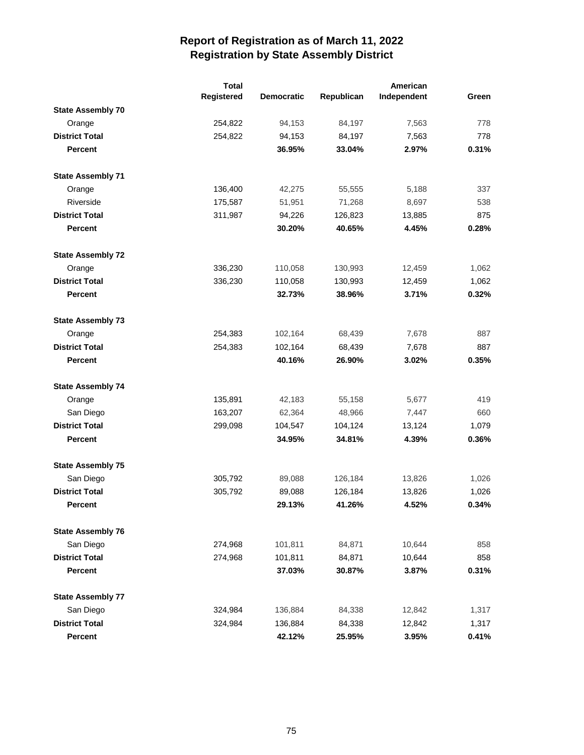|                          | <b>Total</b> |                   |            | American    |       |
|--------------------------|--------------|-------------------|------------|-------------|-------|
|                          | Registered   | <b>Democratic</b> | Republican | Independent | Green |
| <b>State Assembly 70</b> |              |                   |            |             |       |
| Orange                   | 254,822      | 94,153            | 84,197     | 7,563       | 778   |
| <b>District Total</b>    | 254,822      | 94,153            | 84,197     | 7,563       | 778   |
| <b>Percent</b>           |              | 36.95%            | 33.04%     | 2.97%       | 0.31% |
| <b>State Assembly 71</b> |              |                   |            |             |       |
| Orange                   | 136,400      | 42,275            | 55,555     | 5,188       | 337   |
| Riverside                | 175,587      | 51,951            | 71,268     | 8,697       | 538   |
| <b>District Total</b>    | 311,987      | 94,226            | 126,823    | 13,885      | 875   |
| <b>Percent</b>           |              | 30.20%            | 40.65%     | 4.45%       | 0.28% |
| <b>State Assembly 72</b> |              |                   |            |             |       |
| Orange                   | 336,230      | 110,058           | 130,993    | 12,459      | 1,062 |
| <b>District Total</b>    | 336,230      | 110,058           | 130,993    | 12,459      | 1,062 |
| Percent                  |              | 32.73%            | 38.96%     | 3.71%       | 0.32% |
| <b>State Assembly 73</b> |              |                   |            |             |       |
| Orange                   | 254,383      | 102,164           | 68,439     | 7,678       | 887   |
| <b>District Total</b>    | 254,383      | 102,164           | 68,439     | 7,678       | 887   |
| <b>Percent</b>           |              | 40.16%            | 26.90%     | 3.02%       | 0.35% |
| <b>State Assembly 74</b> |              |                   |            |             |       |
| Orange                   | 135,891      | 42,183            | 55,158     | 5,677       | 419   |
| San Diego                | 163,207      | 62,364            | 48,966     | 7,447       | 660   |
| <b>District Total</b>    | 299,098      | 104,547           | 104,124    | 13,124      | 1,079 |
| Percent                  |              | 34.95%            | 34.81%     | 4.39%       | 0.36% |
| <b>State Assembly 75</b> |              |                   |            |             |       |
| San Diego                | 305,792      | 89,088            | 126,184    | 13,826      | 1,026 |
| <b>District Total</b>    | 305,792      | 89,088            | 126,184    | 13,826      | 1,026 |
| <b>Percent</b>           |              | 29.13%            | 41.26%     | 4.52%       | 0.34% |
| <b>State Assembly 76</b> |              |                   |            |             |       |
| San Diego                | 274,968      | 101,811           | 84,871     | 10,644      | 858   |
| <b>District Total</b>    | 274,968      | 101,811           | 84,871     | 10,644      | 858   |
| <b>Percent</b>           |              | 37.03%            | 30.87%     | 3.87%       | 0.31% |
| <b>State Assembly 77</b> |              |                   |            |             |       |
| San Diego                | 324,984      | 136,884           | 84,338     | 12,842      | 1,317 |
| <b>District Total</b>    | 324,984      | 136,884           | 84,338     | 12,842      | 1,317 |
| <b>Percent</b>           |              | 42.12%            | 25.95%     | 3.95%       | 0.41% |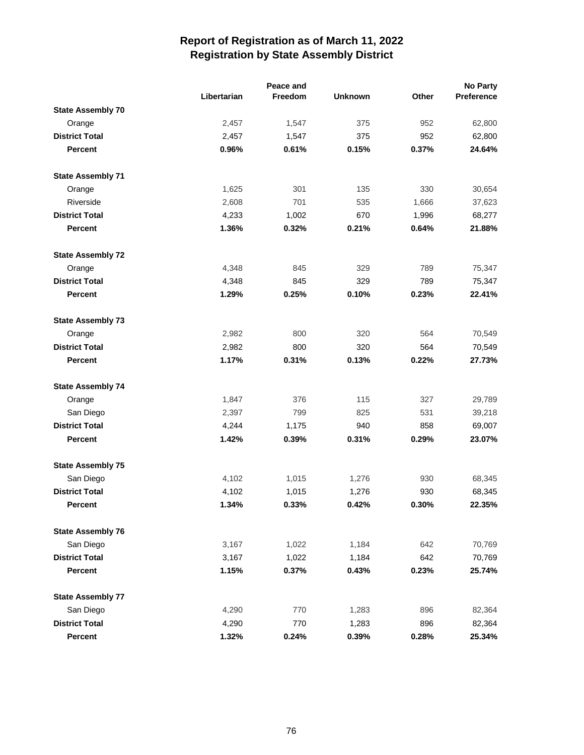|                          |             | Peace and |                |       | No Party   |
|--------------------------|-------------|-----------|----------------|-------|------------|
|                          | Libertarian | Freedom   | <b>Unknown</b> | Other | Preference |
| <b>State Assembly 70</b> |             |           |                |       |            |
| Orange                   | 2,457       | 1,547     | 375            | 952   | 62,800     |
| <b>District Total</b>    | 2,457       | 1,547     | 375            | 952   | 62,800     |
| <b>Percent</b>           | 0.96%       | 0.61%     | 0.15%          | 0.37% | 24.64%     |
| <b>State Assembly 71</b> |             |           |                |       |            |
| Orange                   | 1,625       | 301       | 135            | 330   | 30,654     |
| Riverside                | 2,608       | 701       | 535            | 1,666 | 37,623     |
| <b>District Total</b>    | 4,233       | 1,002     | 670            | 1,996 | 68,277     |
| <b>Percent</b>           | 1.36%       | 0.32%     | 0.21%          | 0.64% | 21.88%     |
| <b>State Assembly 72</b> |             |           |                |       |            |
| Orange                   | 4,348       | 845       | 329            | 789   | 75,347     |
| <b>District Total</b>    | 4,348       | 845       | 329            | 789   | 75,347     |
| <b>Percent</b>           | 1.29%       | 0.25%     | 0.10%          | 0.23% | 22.41%     |
| <b>State Assembly 73</b> |             |           |                |       |            |
| Orange                   | 2,982       | 800       | 320            | 564   | 70,549     |
| <b>District Total</b>    | 2,982       | 800       | 320            | 564   | 70,549     |
| <b>Percent</b>           | 1.17%       | 0.31%     | 0.13%          | 0.22% | 27.73%     |
| <b>State Assembly 74</b> |             |           |                |       |            |
| Orange                   | 1,847       | 376       | 115            | 327   | 29,789     |
| San Diego                | 2,397       | 799       | 825            | 531   | 39,218     |
| <b>District Total</b>    | 4,244       | 1,175     | 940            | 858   | 69,007     |
| Percent                  | 1.42%       | 0.39%     | 0.31%          | 0.29% | 23.07%     |
| <b>State Assembly 75</b> |             |           |                |       |            |
| San Diego                | 4,102       | 1,015     | 1,276          | 930   | 68,345     |
| <b>District Total</b>    | 4,102       | 1,015     | 1,276          | 930   | 68,345     |
| <b>Percent</b>           | 1.34%       | 0.33%     | 0.42%          | 0.30% | 22.35%     |
| <b>State Assembly 76</b> |             |           |                |       |            |
| San Diego                | 3,167       | 1,022     | 1,184          | 642   | 70,769     |
| <b>District Total</b>    | 3,167       | 1,022     | 1,184          | 642   | 70,769     |
| <b>Percent</b>           | 1.15%       | 0.37%     | 0.43%          | 0.23% | 25.74%     |
| <b>State Assembly 77</b> |             |           |                |       |            |
| San Diego                | 4,290       | 770       | 1,283          | 896   | 82,364     |
| <b>District Total</b>    | 4,290       | 770       | 1,283          | 896   | 82,364     |
| Percent                  | 1.32%       | 0.24%     | 0.39%          | 0.28% | 25.34%     |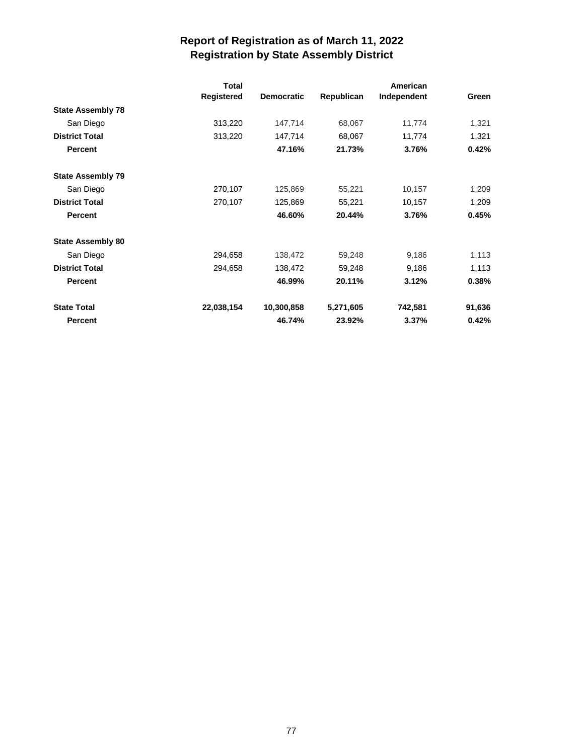|                          | <b>Total</b>      |                   |            |             |        |
|--------------------------|-------------------|-------------------|------------|-------------|--------|
|                          | <b>Registered</b> | <b>Democratic</b> | Republican | Independent | Green  |
| <b>State Assembly 78</b> |                   |                   |            |             |        |
| San Diego                | 313,220           | 147,714           | 68,067     | 11,774      | 1,321  |
| <b>District Total</b>    | 313,220           | 147,714           | 68,067     | 11,774      | 1,321  |
| <b>Percent</b>           |                   | 47.16%            | 21.73%     | 3.76%       | 0.42%  |
| <b>State Assembly 79</b> |                   |                   |            |             |        |
| San Diego                | 270,107           | 125,869           | 55,221     | 10,157      | 1,209  |
| <b>District Total</b>    | 270,107           | 125,869           | 55,221     | 10,157      | 1,209  |
| <b>Percent</b>           |                   | 46.60%            | 20.44%     | 3.76%       | 0.45%  |
| <b>State Assembly 80</b> |                   |                   |            |             |        |
| San Diego                | 294,658           | 138,472           | 59,248     | 9,186       | 1,113  |
| <b>District Total</b>    | 294,658           | 138,472           | 59,248     | 9,186       | 1,113  |
| <b>Percent</b>           |                   | 46.99%            | 20.11%     | 3.12%       | 0.38%  |
| <b>State Total</b>       | 22,038,154        | 10,300,858        | 5,271,605  | 742,581     | 91,636 |
| <b>Percent</b>           |                   | 46.74%            | 23.92%     | 3.37%       | 0.42%  |